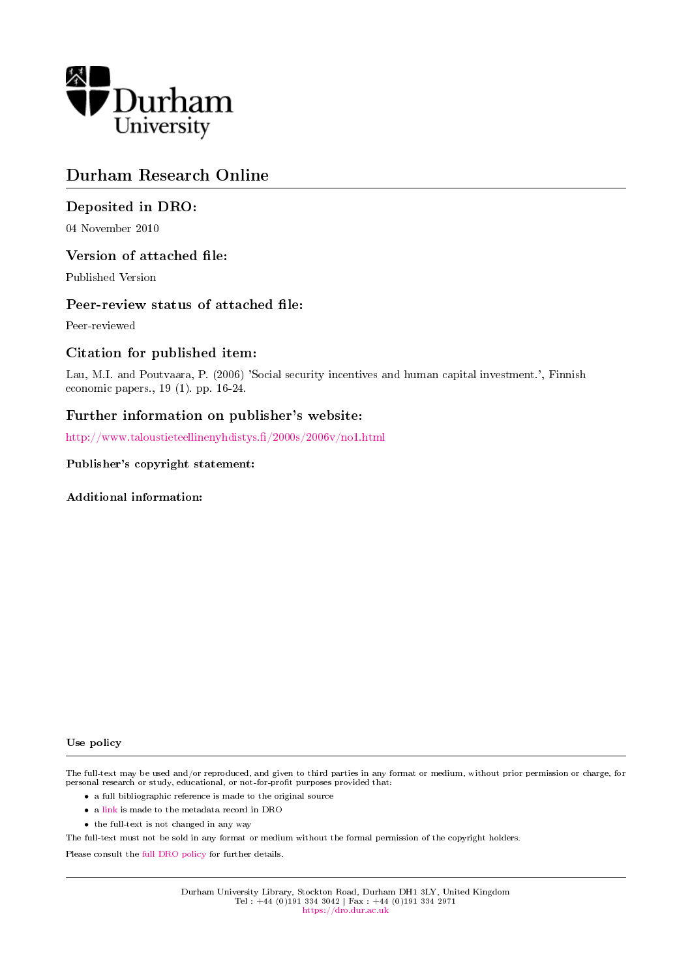

# Durham Research Online

## Deposited in DRO:

04 November 2010

## Version of attached file:

Published Version

## Peer-review status of attached file:

Peer-reviewed

## Citation for published item:

Lau, M.I. and Poutvaara, P. (2006) 'Social security incentives and human capital investment.', Finnish economic papers., 19 (1). pp. 16-24.

## Further information on publisher's website:

[http://www.taloustieteellinenyhdistys./2000s/2006v/no1.html](http://www.taloustieteellinenyhdistys.fi/2000s/2006v/no1.html)

### Publisher's copyright statement:

Additional information:

#### Use policy

The full-text may be used and/or reproduced, and given to third parties in any format or medium, without prior permission or charge, for personal research or study, educational, or not-for-profit purposes provided that:

- a full bibliographic reference is made to the original source
- a [link](http://dro.dur.ac.uk/7506/) is made to the metadata record in DRO
- the full-text is not changed in any way

The full-text must not be sold in any format or medium without the formal permission of the copyright holders.

Please consult the [full DRO policy](https://dro.dur.ac.uk/policies/usepolicy.pdf) for further details.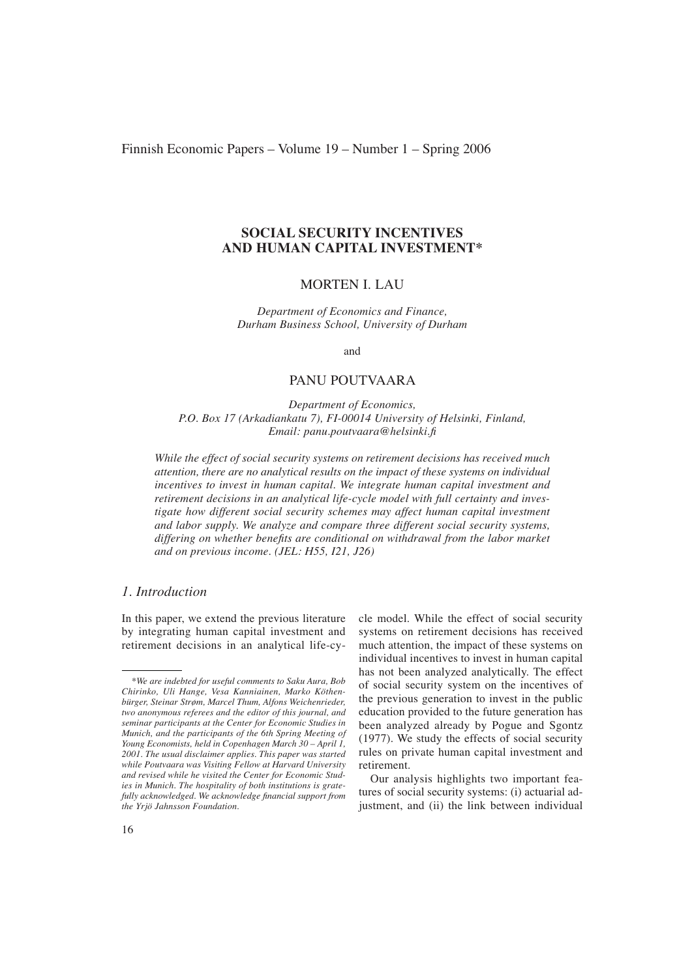<sup>F</sup>innish <sup>E</sup>conomi<sup>c</sup> <sup>P</sup>apers – <sup>V</sup>olum<sup>e</sup> <sup>19</sup> – <sup>N</sup>umber <sup>1</sup> – <sup>S</sup>pring <sup>2</sup>00<sup>6</sup>

## **SOCIAL SECURITY INCENTIVES AND HUMAN CAPITAL INVESTMENT\***

#### MORTEN I. LAU

*<sup>D</sup>epartmen<sup>t</sup> <sup>o</sup>f <sup>E</sup>conomic<sup>s</sup> <sup>a</sup>n<sup>d</sup> <sup>F</sup>inance,* Durham Business School, University of Durham

and

## PANU POUTVAARA

*<sup>D</sup>epartmen<sup>t</sup> <sup>o</sup>f <sup>E</sup>conomics,* P.O. Box 17 (Arkadiankatu 7), FI-00014 University of Helsinki, Finland, *Email: panu.poutvaara@helsinki.fi*

While the effect of social security systems on retirement decisions has received much attention, there are no analytical results on the impact of these systems on individual incentives to invest in human capital. We integrate human capital investment and retirement decisions in an analytical life-cycle model with full certainty and investigate how different social security schemes may affect human capital investment and labor supply. We analyze and compare three different social security systems, *differing on whether benefits are conditional on withdrawal from the labor market* and on previous income. (JEL: H55, I21, J26)

## *1. Introduction*

<sup>I</sup><sup>n</sup> <sup>t</sup>his paper, <sup>w</sup>e exten<sup>d</sup> <sup>t</sup>h<sup>e</sup> previou<sup>s</sup> literatur<sup>e</sup> <sup>b</sup><sup>y</sup> <sup>i</sup>ntegrating huma<sup>n</sup> <sup>c</sup>apital investmen<sup>t</sup> <sup>a</sup>n<sup>d</sup> <sup>r</sup>etiremen<sup>t</sup> decision<sup>s</sup> <sup>i</sup><sup>n</sup> <sup>a</sup><sup>n</sup> <sup>a</sup>nalytical life-cy<sup>c</sup>l<sup>e</sup> model. <sup>W</sup>hil<sup>e</sup> <sup>t</sup>he effec<sup>t</sup> <sup>o</sup>f <sup>s</sup>ocia<sup>l</sup> <sup>s</sup>ecurit<sup>y</sup> <sup>s</sup>ystem<sup>s</sup> on <sup>r</sup>etiremen<sup>t</sup> decision<sup>s</sup> has received <sup>m</sup>uch <sup>a</sup>ttention, <sup>t</sup>h<sup>e</sup> <sup>i</sup>mpac<sup>t</sup> <sup>o</sup>f <sup>t</sup>hes<sup>e</sup> <sup>s</sup>ystem<sup>s</sup> on <sup>i</sup>ndividual incentives t<sup>o</sup> <sup>i</sup>nvest <sup>i</sup><sup>n</sup> huma<sup>n</sup> <sup>c</sup>apita<sup>l</sup> ha<sup>s</sup> no<sup>t</sup> <sup>b</sup>ee<sup>n</sup> <sup>a</sup>nalyzed <sup>a</sup>nalytically. <sup>T</sup>he effec<sup>t</sup> <sup>o</sup>f <sup>s</sup>ocia<sup>l</sup> <sup>s</sup>ecurit<sup>y</sup> <sup>s</sup>ystem on <sup>t</sup>h<sup>e</sup> <sup>i</sup>ncentive<sup>s</sup> <sup>o</sup><sup>f</sup> <sup>t</sup>h<sup>e</sup> previou<sup>s</sup> generation <sup>t</sup><sup>o</sup> <sup>i</sup>nvest <sup>i</sup><sup>n</sup> <sup>t</sup>h<sup>e</sup> <sup>p</sup>ubli<sup>c</sup> education provided <sup>t</sup><sup>o</sup> <sup>t</sup>h<sup>e</sup> futur<sup>e</sup> generation ha<sup>s</sup> <sup>b</sup>ee<sup>n</sup> <sup>a</sup>nalyzed <sup>a</sup>lread<sup>y</sup> <sup>b</sup><sup>y</sup> <sup>P</sup>ogu<sup>e</sup> <sup>a</sup>n<sup>d</sup> <sup>S</sup>gont<sup>z</sup> (1977). <sup>W</sup><sup>e</sup> stud<sup>y</sup> <sup>t</sup>he effects <sup>o</sup>f <sup>s</sup>ocia<sup>l</sup> <sup>s</sup>ecurit<sup>y</sup> <sup>r</sup>ule<sup>s</sup> on privat<sup>e</sup> huma<sup>n</sup> <sup>c</sup>apital investmen<sup>t</sup> <sup>a</sup>n<sup>d</sup> retirement.

<sup>O</sup>u<sup>r</sup> <sup>a</sup>nalysi<sup>s</sup> highlights tw<sup>o</sup> <sup>i</sup>mportan<sup>t</sup> <sup>f</sup>ea<sup>t</sup>ure<sup>s</sup> <sup>o</sup>f <sup>s</sup>ocia<sup>l</sup> <sup>s</sup>ecurit<sup>y</sup> <sup>s</sup>ystems: (i) <sup>a</sup>ctuaria<sup>l</sup> <sup>a</sup>d<sup>j</sup>ustment, <sup>a</sup>n<sup>d</sup> (ii) th<sup>e</sup> lin<sup>k</sup> <sup>b</sup>etwee<sup>n</sup> <sup>i</sup>ndividua<sup>l</sup>

<sup>\*</sup>We are indebted for useful comments to Saku Aura, Bob Chirinko, Uli Hange, Vesa Kanniainen, Marko Köthenbürger, Steinar Strøm, Marcel Thum, Alfons Weichenrieder, two anonymous referees and the editor of this journal, and seminar participants at the Center for Economic Studies in Munich, and the participants of the 6th Spring Meeting of Young Economists, held in Copenhagen March 30 - April 1, 2001. The usual disclaimer applies. This paper was started while Poutvaara was Visiting Fellow at Harvard University and revised while he visited the Center for Economic Studies in Munich. The hospitality of both institutions is grate*fully acknowledged. We acknowledge financial support from <sup>t</sup>h<sup>e</sup> <sup>Y</sup>rj<sup>ö</sup> <sup>J</sup>ahnsson <sup>F</sup>oundation.*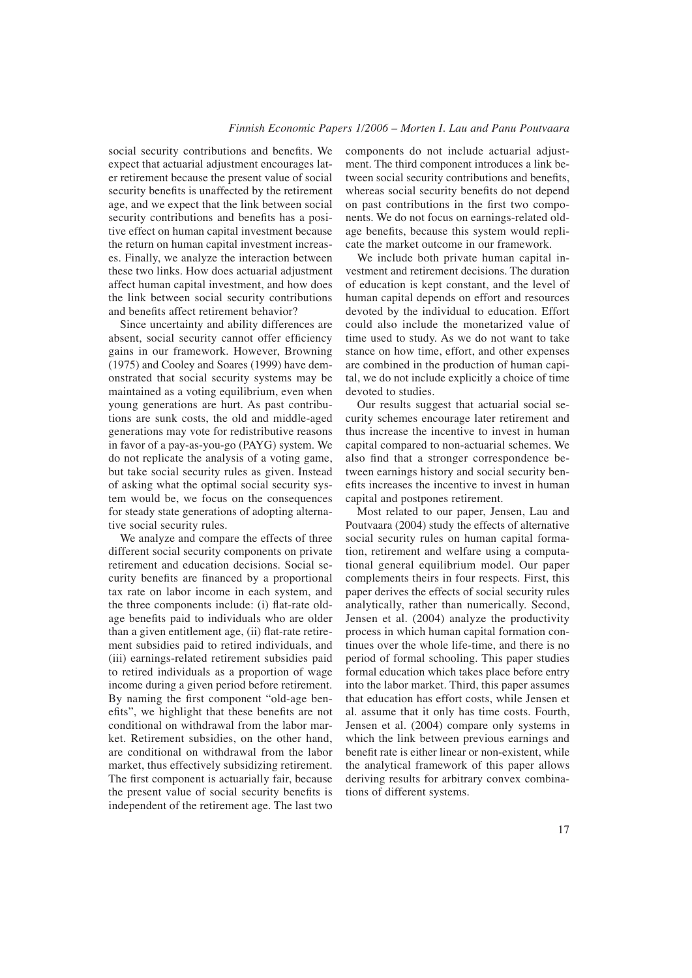social security contributions and benefits. We <sup>e</sup>xpect tha<sup>t</sup> <sup>a</sup>ctuaria<sup>l</sup> <sup>a</sup>djustmen<sup>t</sup> <sup>e</sup>ncourage<sup>s</sup> <sup>l</sup>at<sup>e</sup>r retiremen<sup>t</sup> <sup>b</sup>ecaus<sup>e</sup> <sup>t</sup>h<sup>e</sup> presen<sup>t</sup> <sup>v</sup>alu<sup>e</sup> <sup>o</sup>f <sup>s</sup>ocia<sup>l</sup> security benefits is unaffected by the retirement <sup>a</sup>ge, <sup>a</sup>n<sup>d</sup> <sup>w</sup>e expect that th<sup>e</sup> lin<sup>k</sup> <sup>b</sup>etwee<sup>n</sup> <sup>s</sup>ocia<sup>l</sup> security contributions and benefits has a posi<sup>t</sup>ive effec<sup>t</sup> on huma<sup>n</sup> <sup>c</sup>apital investmen<sup>t</sup> <sup>b</sup>ecaus<sup>e</sup> <sup>t</sup>h<sup>e</sup> <sup>r</sup>eturn on huma<sup>n</sup> <sup>c</sup>apital investmen<sup>t</sup> <sup>i</sup>ncreas<sup>e</sup>s. <sup>F</sup>inally, <sup>w</sup><sup>e</sup> <sup>a</sup>nalyz<sup>e</sup> <sup>t</sup>h<sup>e</sup> <sup>i</sup>nteraction <sup>b</sup>etwee<sup>n</sup> <sup>t</sup>hes<sup>e</sup> <sup>t</sup>w<sup>o</sup> links. <sup>H</sup>o<sup>w</sup> <sup>d</sup>oe<sup>s</sup> <sup>a</sup>ctuaria<sup>l</sup> <sup>a</sup>djustmen<sup>t</sup> <sup>a</sup>ffec<sup>t</sup> huma<sup>n</sup> <sup>c</sup>apital investment, <sup>a</sup>n<sup>d</sup> ho<sup>w</sup> <sup>d</sup>oe<sup>s</sup> <sup>t</sup>h<sup>e</sup> lin<sup>k</sup> <sup>b</sup>etwee<sup>n</sup> <sup>s</sup>ocia<sup>l</sup> <sup>s</sup>ecurit<sup>y</sup> <sup>c</sup>ontribution<sup>s</sup> and benefits affect retirement behavior?

<sup>S</sup>ince <sup>u</sup>ncertaint<sup>y</sup> <sup>a</sup>n<sup>d</sup> abilit<sup>y</sup> <sup>d</sup>ifference<sup>s</sup> <sup>a</sup>r<sup>e</sup> absent, social security cannot offer efficiency gain<sup>s</sup> <sup>i</sup>n ou<sup>r</sup> framework. <sup>H</sup>owever, <sup>B</sup>rowning (1975) <sup>a</sup>n<sup>d</sup> <sup>C</sup>oole<sup>y</sup> <sup>a</sup>n<sup>d</sup> <sup>S</sup>oares (1999) have demonstrated <sup>t</sup>hat socia<sup>l</sup> <sup>s</sup>ecurit<sup>y</sup> <sup>s</sup>ystem<sup>s</sup> <sup>m</sup>a<sup>y</sup> <sup>b</sup><sup>e</sup> <sup>m</sup>aintained <sup>a</sup><sup>s</sup> <sup>a</sup> <sup>v</sup>oting <sup>e</sup>quilibrium, eve<sup>n</sup> <sup>w</sup>he<sup>n</sup> <sup>y</sup>oung generation<sup>s</sup> <sup>a</sup>r<sup>e</sup> hurt. <sup>A</sup>s past <sup>c</sup>ontribu<sup>t</sup>ion<sup>s</sup> <sup>a</sup>r<sup>e</sup> <sup>s</sup>un<sup>k</sup> <sup>c</sup>osts, <sup>t</sup>h<sup>e</sup> <sup>o</sup>l<sup>d</sup> <sup>a</sup>n<sup>d</sup> <sup>m</sup>iddle-aged generation<sup>s</sup> <sup>m</sup>ay vot<sup>e</sup> for redistributiv<sup>e</sup> <sup>r</sup>eason<sup>s</sup> <sup>i</sup><sup>n</sup> favo<sup>r</sup> <sup>o</sup>f <sup>a</sup> <sup>p</sup>ay-as-you-g<sup>o</sup> (PAYG) system. <sup>W</sup><sup>e</sup> <sup>d</sup>o not replicat<sup>e</sup> <sup>t</sup>h<sup>e</sup> <sup>a</sup>nalysi<sup>s</sup> <sup>o</sup>f <sup>a</sup> <sup>v</sup>oting game, <sup>b</sup>ut tak<sup>e</sup> <sup>s</sup>ocia<sup>l</sup> <sup>s</sup>ecurit<sup>y</sup> <sup>r</sup>ule<sup>s</sup> <sup>a</sup><sup>s</sup> given. <sup>I</sup>nstea<sup>d</sup> <sup>o</sup>f <sup>a</sup>sking <sup>w</sup>hat th<sup>e</sup> <sup>o</sup>ptima<sup>l</sup> <sup>s</sup>ocia<sup>l</sup> <sup>s</sup>ecurit<sup>y</sup> <sup>s</sup>ys<sup>t</sup>e<sup>m</sup> <sup>w</sup>oul<sup>d</sup> <sup>b</sup>e, <sup>w</sup><sup>e</sup> focu<sup>s</sup> on <sup>t</sup>he consequence<sup>s</sup> for stead<sup>y</sup> stat<sup>e</sup> generation<sup>s</sup> <sup>o</sup>f <sup>a</sup>dopting <sup>a</sup>lternative social security rules.

<sup>W</sup><sup>e</sup> <sup>a</sup>nalyz<sup>e</sup> <sup>a</sup>nd compar<sup>e</sup> <sup>t</sup>he effects <sup>o</sup>f <sup>t</sup>hree <sup>d</sup>ifferent socia<sup>l</sup> <sup>s</sup>ecurit<sup>y</sup> <sup>c</sup>omponents on privat<sup>e</sup> retirement and education decisions. Social security benefits are financed by a proportional <sup>t</sup>a<sup>x</sup> <sup>r</sup>at<sup>e</sup> on <sup>l</sup>abo<sup>r</sup> <sup>i</sup>ncom<sup>e</sup> <sup>i</sup><sup>n</sup> <sup>e</sup>ach <sup>s</sup>ystem, <sup>a</sup>n<sup>d</sup> the three components include: (i) flat-rate oldage benefits paid to individuals who are older than a given entitlement age, (ii) flat-rate retirement subsidies paid to retired individuals, and (iii) <sup>e</sup>arnings-related <sup>r</sup>etirement subsidies pai<sup>d</sup> <sup>t</sup><sup>o</sup> <sup>r</sup>etired <sup>i</sup>ndividual<sup>s</sup> <sup>a</sup><sup>s</sup> <sup>a</sup> proportion o<sup>f</sup> <sup>w</sup>ag<sup>e</sup> <sup>i</sup>ncome during <sup>a</sup> give<sup>n</sup> <sup>p</sup>erio<sup>d</sup> <sup>b</sup>efor<sup>e</sup> <sup>r</sup>etirement. By naming the first component "old-age benefits", we highlight that these benefits are not <sup>c</sup>onditiona<sup>l</sup> on <sup>w</sup>ithdrawa<sup>l</sup> from <sup>t</sup>h<sup>e</sup> <sup>l</sup>abo<sup>r</sup> <sup>m</sup>ar<sup>k</sup>et. <sup>R</sup>etirement subsidies, on <sup>t</sup>h<sup>e</sup> <sup>o</sup>the<sup>r</sup> hand, <sup>a</sup>re conditiona<sup>l</sup> on <sup>w</sup>ithdrawa<sup>l</sup> from <sup>t</sup>h<sup>e</sup> <sup>l</sup>abo<sup>r</sup> <sup>m</sup>arket, <sup>t</sup>hu<sup>s</sup> <sup>e</sup>ffectivel<sup>y</sup> <sup>s</sup>ubsidizing <sup>r</sup>etirement. The first component is actuarially fair, because the present value of social security benefits is <sup>i</sup>ndependen<sup>t</sup> <sup>o</sup>f <sup>t</sup>h<sup>e</sup> <sup>r</sup>etiremen<sup>t</sup> <sup>a</sup>ge. <sup>T</sup>h<sup>e</sup> <sup>l</sup>ast tw<sup>o</sup> components do not include actuarial adjust<sup>m</sup>ent. <sup>T</sup>h<sup>e</sup> <sup>t</sup>hird componen<sup>t</sup> <sup>i</sup>ntroduce<sup>s</sup> <sup>a</sup> lin<sup>k</sup> <sup>b</sup>etween social security contributions and benefits, whereas social security benefits do not depend on past contributions in the first two compo<sup>n</sup>ents. <sup>W</sup>e do no<sup>t</sup> focu<sup>s</sup> on <sup>e</sup>arnings-related <sup>o</sup>ldage benefits, because this system would repli<sup>c</sup>at<sup>e</sup> <sup>t</sup>h<sup>e</sup> <sup>m</sup>arke<sup>t</sup> <sup>o</sup>utcom<sup>e</sup> <sup>i</sup>n ou<sup>r</sup> framework.

<sup>W</sup><sup>e</sup> <sup>i</sup>nclude <sup>b</sup>oth privat<sup>e</sup> huma<sup>n</sup> <sup>c</sup>apital in<sup>v</sup>estmen<sup>t</sup> <sup>a</sup>n<sup>d</sup> <sup>r</sup>etiremen<sup>t</sup> decisions. <sup>T</sup>he duration <sup>o</sup>f education <sup>i</sup><sup>s</sup> <sup>k</sup>ept <sup>c</sup>onstant, <sup>a</sup>n<sup>d</sup> <sup>t</sup>h<sup>e</sup> <sup>l</sup>eve<sup>l</sup> <sup>o</sup>f huma<sup>n</sup> <sup>c</sup>apita<sup>l</sup> depend<sup>s</sup> on <sup>e</sup>ffort <sup>a</sup>n<sup>d</sup> <sup>r</sup>esource<sup>s</sup> devoted <sup>b</sup><sup>y</sup> <sup>t</sup>h<sup>e</sup> <sup>i</sup>ndividua<sup>l</sup> <sup>t</sup><sup>o</sup> education. <sup>E</sup>ffort <sup>c</sup>oul<sup>d</sup> <sup>a</sup>ls<sup>o</sup> <sup>i</sup>nclude <sup>t</sup>h<sup>e</sup> monetarized <sup>v</sup>alu<sup>e</sup> <sup>o</sup>f time used to study. As we do not want to take stance on ho<sup>w</sup> <sup>t</sup>ime, effort, <sup>a</sup>n<sup>d</sup> <sup>o</sup>the<sup>r</sup> <sup>e</sup>xpense<sup>s</sup> <sup>a</sup>re combined <sup>i</sup><sup>n</sup> <sup>t</sup>h<sup>e</sup> production of huma<sup>n</sup> <sup>c</sup>api<sup>t</sup>al, <sup>w</sup>e do no<sup>t</sup> <sup>i</sup>nclude explicitl<sup>y</sup> <sup>a</sup> <sup>c</sup>hoice <sup>o</sup>f <sup>t</sup>im<sup>e</sup> devoted to studies.

<sup>O</sup>ur results suggest tha<sup>t</sup> <sup>a</sup>ctuaria<sup>l</sup> <sup>s</sup>ocia<sup>l</sup> <sup>s</sup>e<sup>c</sup>urit<sup>y</sup> <sup>s</sup>cheme<sup>s</sup> <sup>e</sup>ncourag<sup>e</sup> <sup>l</sup>ater retiremen<sup>t</sup> <sup>a</sup>n<sup>d</sup> <sup>t</sup>hu<sup>s</sup> <sup>i</sup>ncreas<sup>e</sup> <sup>t</sup>h<sup>e</sup> <sup>i</sup>ncentiv<sup>e</sup> <sup>t</sup><sup>o</sup> <sup>i</sup>nvest <sup>i</sup><sup>n</sup> huma<sup>n</sup> <sup>c</sup>apita<sup>l</sup> <sup>c</sup>ompared <sup>t</sup>o non-actuaria<sup>l</sup> <sup>s</sup>chemes. <sup>W</sup><sup>e</sup> also find that a stronger correspondence be<sup>t</sup>wee<sup>n</sup> <sup>e</sup>arning<sup>s</sup> histor<sup>y</sup> <sup>a</sup>n<sup>d</sup> <sup>s</sup>ocia<sup>l</sup> <sup>s</sup>ecurit<sup>y</sup> <sup>b</sup>enefits increases the incentive to invest in human capital and postpones retirement.

Most related to our paper, Jensen, Lau and <sup>P</sup>outvaar<sup>a</sup> (2004) stud<sup>y</sup> <sup>t</sup>he effects <sup>o</sup>f <sup>a</sup>lternativ<sup>e</sup> <sup>s</sup>ocia<sup>l</sup> <sup>s</sup>ecurit<sup>y</sup> <sup>r</sup>ule<sup>s</sup> on huma<sup>n</sup> <sup>c</sup>apita<sup>l</sup> forma<sup>t</sup>ion, <sup>r</sup>etiremen<sup>t</sup> <sup>a</sup>n<sup>d</sup> <sup>w</sup>elfar<sup>e</sup> <sup>u</sup>sing <sup>a</sup> <sup>c</sup>omputa<sup>t</sup>iona<sup>l</sup> genera<sup>l</sup> <sup>e</sup>quilibrium model. <sup>O</sup>ur pape<sup>r</sup> <sup>c</sup>omplements theirs <sup>i</sup><sup>n</sup> four respects. <sup>F</sup>irst, <sup>t</sup>hi<sup>s</sup> <sup>p</sup>ape<sup>r</sup> derives the effects <sup>o</sup>f <sup>s</sup>ocia<sup>l</sup> <sup>s</sup>ecurit<sup>y</sup> <sup>r</sup>ule<sup>s</sup> <sup>a</sup>nalytically, <sup>r</sup>ather than numerically. <sup>S</sup>econd, <sup>J</sup>ense<sup>n</sup> <sup>e</sup><sup>t</sup> <sup>a</sup>l. (2004) <sup>a</sup>nalyz<sup>e</sup> <sup>t</sup>h<sup>e</sup> productivit<sup>y</sup> process <sup>i</sup><sup>n</sup> <sup>w</sup>hich huma<sup>n</sup> <sup>c</sup>apita<sup>l</sup> formation <sup>c</sup>on<sup>t</sup>inue<sup>s</sup> <sup>o</sup>ver th<sup>e</sup> <sup>w</sup>hol<sup>e</sup> life-time, <sup>a</sup>n<sup>d</sup> <sup>t</sup>her<sup>e</sup> <sup>i</sup><sup>s</sup> no <sup>p</sup>erio<sup>d</sup> <sup>o</sup>f forma<sup>l</sup> <sup>s</sup>chooling. <sup>T</sup>his paper studie<sup>s</sup> forma<sup>l</sup> education <sup>w</sup>hich <sup>t</sup>akes place <sup>b</sup>efore entr<sup>y</sup> <sup>i</sup>nt<sup>o</sup> <sup>t</sup>h<sup>e</sup> <sup>l</sup>abo<sup>r</sup> <sup>m</sup>arket. <sup>T</sup>hird, <sup>t</sup>his pape<sup>r</sup> <sup>a</sup>ssume<sup>s</sup> <sup>t</sup>ha<sup>t</sup> education ha<sup>s</sup> <sup>e</sup>ffort <sup>c</sup>osts, <sup>w</sup>hil<sup>e</sup> <sup>J</sup>ense<sup>n</sup> <sup>e</sup><sup>t</sup> <sup>a</sup>l. <sup>a</sup>ssum<sup>e</sup> <sup>t</sup>ha<sup>t</sup> <sup>i</sup><sup>t</sup> onl<sup>y</sup> has time costs. <sup>F</sup>ourth, <sup>J</sup>ense<sup>n</sup> <sup>e</sup><sup>t</sup> <sup>a</sup>l. (2004) <sup>c</sup>ompar<sup>e</sup> onl<sup>y</sup> <sup>s</sup>ystem<sup>s</sup> <sup>i</sup><sup>n</sup> <sup>w</sup>hich <sup>t</sup>h<sup>e</sup> lin<sup>k</sup> <sup>b</sup>etwee<sup>n</sup> previou<sup>s</sup> <sup>e</sup>arning<sup>s</sup> <sup>a</sup>n<sup>d</sup> benefit rate is either linear or non-existent, while <sup>t</sup>h<sup>e</sup> <sup>a</sup>nalytica<sup>l</sup> framewor<sup>k</sup> <sup>o</sup>f <sup>t</sup>his pape<sup>r</sup> <sup>a</sup>llow<sup>s</sup> deriving <sup>r</sup>esults fo<sup>r</sup> <sup>a</sup>rbitrar<sup>y</sup> <sup>c</sup>onve<sup>x</sup> <sup>c</sup>ombina<sup>t</sup>ion<sup>s</sup> <sup>o</sup>f <sup>d</sup>ifferent systems.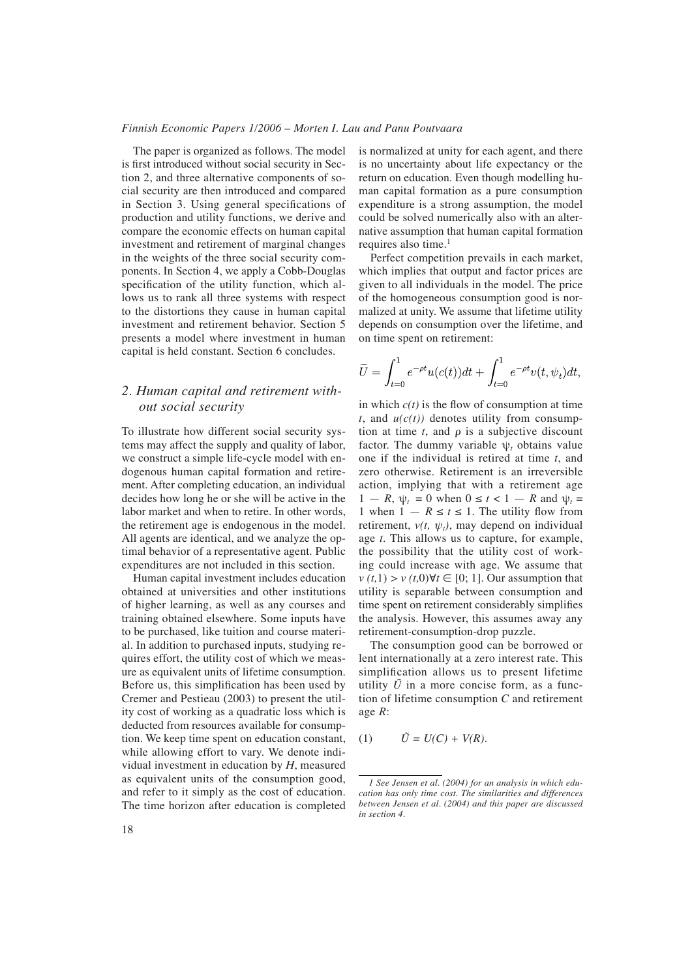#### Finnish Economic Papers 1/2006 - Morten I. Lau and Panu Poutvaara

<sup>T</sup>h<sup>e</sup> <sup>p</sup>ape<sup>r</sup> <sup>i</sup><sup>s</sup> <sup>o</sup>rganized <sup>a</sup><sup>s</sup> follows. <sup>T</sup>h<sup>e</sup> mode<sup>l</sup> is first introduced without social security in Sec<sup>t</sup>ion <sup>2</sup>, <sup>a</sup>n<sup>d</sup> <sup>t</sup>hree <sup>a</sup>lternative components <sup>o</sup>f <sup>s</sup>o<sup>c</sup>ia<sup>l</sup> <sup>s</sup>ecurit<sup>y</sup> <sup>a</sup>r<sup>e</sup> <sup>t</sup>he<sup>n</sup> <sup>i</sup>ntroduced <sup>a</sup>nd compared in Section 3. Using general specifications of production <sup>a</sup>n<sup>d</sup> <sup>u</sup>tilit<sup>y</sup> functions, <sup>w</sup>e deriv<sup>e</sup> <sup>a</sup>n<sup>d</sup> <sup>c</sup>ompar<sup>e</sup> <sup>t</sup>he economic effects on huma<sup>n</sup> <sup>c</sup>apita<sup>l</sup> <sup>i</sup>nvestmen<sup>t</sup> <sup>a</sup>n<sup>d</sup> <sup>r</sup>etiremen<sup>t</sup> <sup>o</sup>f <sup>m</sup>argina<sup>l</sup> <sup>c</sup>hange<sup>s</sup> <sup>i</sup><sup>n</sup> <sup>t</sup>h<sup>e</sup> <sup>w</sup>eights <sup>o</sup>f <sup>t</sup>h<sup>e</sup> <sup>t</sup>hree <sup>s</sup>ocia<sup>l</sup> <sup>s</sup>ecurit<sup>y</sup> <sup>c</sup>om<sup>p</sup>onents. I<sup>n</sup> <sup>S</sup>ection 4, <sup>w</sup><sup>e</sup> <sup>a</sup>ppl<sup>y</sup> <sup>a</sup> <sup>C</sup>obb-Dougla<sup>s</sup> specification of the utility function, which al<sup>l</sup>ow<sup>s</sup> <sup>u</sup>s t<sup>o</sup> <sup>r</sup>an<sup>k</sup> <sup>a</sup>ll <sup>t</sup>hree <sup>s</sup>ystem<sup>s</sup> <sup>w</sup>ith <sup>r</sup>espec<sup>t</sup> <sup>t</sup><sup>o</sup> <sup>t</sup>he distortions the<sup>y</sup> <sup>c</sup>aus<sup>e</sup> <sup>i</sup><sup>n</sup> huma<sup>n</sup> <sup>c</sup>apita<sup>l</sup> <sup>i</sup>nvestmen<sup>t</sup> <sup>a</sup>n<sup>d</sup> <sup>r</sup>etiremen<sup>t</sup> <sup>b</sup>ehavior. <sup>S</sup>ection 5 presents <sup>a</sup> mode<sup>l</sup> <sup>w</sup>her<sup>e</sup> <sup>i</sup>nvestmen<sup>t</sup> <sup>i</sup><sup>n</sup> huma<sup>n</sup> <sup>c</sup>apital i<sup>s</sup> held constant. <sup>S</sup>ection <sup>6</sup> <sup>c</sup>oncludes.

## 2. Human capital and retirement with*out social security*

<sup>T</sup><sup>o</sup> illustrat<sup>e</sup> ho<sup>w</sup> <sup>d</sup>ifferent socia<sup>l</sup> <sup>s</sup>ecurit<sup>y</sup> <sup>s</sup>ys<sup>t</sup>em<sup>s</sup> <sup>m</sup>a<sup>y</sup> <sup>a</sup>ffect th<sup>e</sup> <sup>s</sup>uppl<sup>y</sup> <sup>a</sup>n<sup>d</sup> <sup>q</sup>ualit<sup>y</sup> <sup>o</sup>f <sup>l</sup>abor, <sup>w</sup>e construc<sup>t</sup> <sup>a</sup> <sup>s</sup>impl<sup>e</sup> life-cycl<sup>e</sup> mode<sup>l</sup> <sup>w</sup>ith <sup>e</sup>n<sup>d</sup>ogenou<sup>s</sup> huma<sup>n</sup> <sup>c</sup>apita<sup>l</sup> formation <sup>a</sup>n<sup>d</sup> <sup>r</sup>etire<sup>m</sup>ent. <sup>A</sup>fte<sup>r</sup> <sup>c</sup>ompleting education, <sup>a</sup><sup>n</sup> <sup>i</sup>ndividua<sup>l</sup> decide<sup>s</sup> ho<sup>w</sup> <sup>l</sup>ong h<sup>e</sup> <sup>o</sup>r sh<sup>e</sup> <sup>w</sup>ill <sup>b</sup><sup>e</sup> <sup>a</sup>ctiv<sup>e</sup> <sup>i</sup><sup>n</sup> <sup>t</sup>h<sup>e</sup> <sup>l</sup>abo<sup>r</sup> <sup>m</sup>arke<sup>t</sup> <sup>a</sup>n<sup>d</sup> <sup>w</sup>he<sup>n</sup> <sup>t</sup><sup>o</sup> <sup>r</sup>etire. <sup>I</sup>n othe<sup>r</sup> <sup>w</sup>ords, <sup>t</sup>h<sup>e</sup> <sup>r</sup>etiremen<sup>t</sup> <sup>a</sup>g<sup>e</sup> <sup>i</sup><sup>s</sup> <sup>e</sup>ndogenou<sup>s</sup> <sup>i</sup><sup>n</sup> <sup>t</sup>h<sup>e</sup> model. <sup>A</sup>ll <sup>a</sup>gents <sup>a</sup>r<sup>e</sup> <sup>i</sup>dentical, <sup>a</sup>n<sup>d</sup> <sup>w</sup><sup>e</sup> <sup>a</sup>nalyz<sup>e</sup> <sup>t</sup>h<sup>e</sup> <sup>o</sup>p<sup>t</sup>ima<sup>l</sup> <sup>b</sup>ehavio<sup>r</sup> <sup>o</sup>f <sup>a</sup> <sup>r</sup>epresentativ<sup>e</sup> <sup>a</sup>gent. <sup>P</sup>ubli<sup>c</sup> <sup>e</sup>xpenditure<sup>s</sup> <sup>a</sup>r<sup>e</sup> no<sup>t</sup> <sup>i</sup>ncluded <sup>i</sup><sup>n</sup> <sup>t</sup>his section.

Human capital investment includes education <sup>o</sup>btained <sup>a</sup><sup>t</sup> <sup>u</sup>niversitie<sup>s</sup> <sup>a</sup>n<sup>d</sup> <sup>o</sup>the<sup>r</sup> <sup>i</sup>nstitution<sup>s</sup> <sup>o</sup>f highe<sup>r</sup> <sup>l</sup>earning, <sup>a</sup><sup>s</sup> <sup>w</sup>ell <sup>a</sup><sup>s</sup> <sup>a</sup>n<sup>y</sup> <sup>c</sup>ourse<sup>s</sup> <sup>a</sup>n<sup>d</sup> training <sup>o</sup>btained elsewhere. <sup>S</sup>om<sup>e</sup> <sup>i</sup>nputs hav<sup>e</sup> <sup>t</sup><sup>o</sup> <sup>b</sup><sup>e</sup> <sup>p</sup>urchased, lik<sup>e</sup> <sup>t</sup>uition <sup>a</sup>nd cours<sup>e</sup> <sup>m</sup>ateri<sup>a</sup>l. <sup>I</sup><sup>n</sup> <sup>a</sup>ddition <sup>t</sup><sup>o</sup> <sup>p</sup>urchased <sup>i</sup>nputs, studying <sup>r</sup>equires effort, the utility cost of which we meas<sup>u</sup>r<sup>e</sup> <sup>a</sup><sup>s</sup> <sup>e</sup>quivalen<sup>t</sup> <sup>u</sup>nits <sup>o</sup>f lifetime consumption. Before us, this simplification has been used by <sup>C</sup>reme<sup>r</sup> <sup>a</sup>n<sup>d</sup> <sup>P</sup>estiea<sup>u</sup> (2003) t<sup>o</sup> present th<sup>e</sup> <sup>u</sup>til<sup>i</sup>t<sup>y</sup> <sup>c</sup>ost <sup>o</sup>f <sup>w</sup>orking <sup>a</sup><sup>s</sup> <sup>a</sup> <sup>q</sup>uadrati<sup>c</sup> <sup>l</sup>oss <sup>w</sup>hich <sup>i</sup><sup>s</sup> deducted from <sup>r</sup>esource<sup>s</sup> <sup>a</sup>vailabl<sup>e</sup> fo<sup>r</sup> <sup>c</sup>onsumption. We keep time spent on education constant, <sup>w</sup>hil<sup>e</sup> <sup>a</sup>llowing <sup>e</sup>ffort t<sup>o</sup> <sup>v</sup>ary. <sup>W</sup>e denot<sup>e</sup> <sup>i</sup>ndividual investment in education by *H*, measured <sup>a</sup><sup>s</sup> <sup>e</sup>quivalen<sup>t</sup> <sup>u</sup>nits <sup>o</sup>f <sup>t</sup>he consumption <sup>g</sup>ood, <sup>a</sup>n<sup>d</sup> <sup>r</sup>efer t<sup>o</sup> <sup>i</sup>t simpl<sup>y</sup> <sup>a</sup>s the cost <sup>o</sup>f education. <sup>T</sup>h<sup>e</sup> <sup>t</sup>im<sup>e</sup> horizon <sup>a</sup>fte<sup>r</sup> education <sup>i</sup><sup>s</sup> <sup>c</sup>ompleted

<sup>i</sup><sup>s</sup> normalized <sup>a</sup><sup>t</sup> <sup>u</sup>nit<sup>y</sup> <sup>f</sup>o<sup>r</sup> <sup>e</sup>ac<sup>h</sup> <sup>a</sup>gent, <sup>a</sup>n<sup>d</sup> <sup>t</sup>her<sup>e</sup> <sup>i</sup><sup>s</sup> no <sup>u</sup>ncertaint<sup>y</sup> abou<sup>t</sup> life expectanc<sup>y</sup> <sup>o</sup>r th<sup>e</sup> <sup>r</sup>eturn on education. <sup>E</sup>ve<sup>n</sup> <sup>t</sup>hough modelling hu<sup>m</sup>a<sup>n</sup> <sup>c</sup>apita<sup>l</sup> formation <sup>a</sup><sup>s</sup> <sup>a</sup> <sup>p</sup>ure consumption <sup>e</sup>xpenditur<sup>e</sup> <sup>i</sup><sup>s</sup> <sup>a</sup> strong <sup>a</sup>ssumption, <sup>t</sup>h<sup>e</sup> mode<sup>l</sup> <sup>c</sup>oul<sup>d</sup> <sup>b</sup><sup>e</sup> <sup>s</sup>olved <sup>n</sup>umericall<sup>y</sup> <sup>a</sup>ls<sup>o</sup> <sup>w</sup>ith <sup>a</sup><sup>n</sup> <sup>a</sup>lter<sup>n</sup>ativ<sup>e</sup> <sup>a</sup>ssumption <sup>t</sup>ha<sup>t</sup> huma<sup>n</sup> <sup>c</sup>apita<sup>l</sup> formation requires also time. 1

<sup>P</sup>erfec<sup>t</sup> <sup>c</sup>ompetition prevail<sup>s</sup> <sup>i</sup><sup>n</sup> <sup>e</sup>ach <sup>m</sup>arket, <sup>w</sup>hich <sup>i</sup>mplies tha<sup>t</sup> <sup>o</sup>utpu<sup>t</sup> <sup>a</sup>n<sup>d</sup> factor price<sup>s</sup> <sup>a</sup>r<sup>e</sup> give<sup>n</sup> <sup>t</sup><sup>o</sup> <sup>a</sup>ll individual<sup>s</sup> <sup>i</sup><sup>n</sup> <sup>t</sup>h<sup>e</sup> model. <sup>T</sup>h<sup>e</sup> price <sup>o</sup>f <sup>t</sup>h<sup>e</sup> homogeneou<sup>s</sup> <sup>c</sup>onsumption goo<sup>d</sup> <sup>i</sup><sup>s</sup> nor<sup>m</sup>alized <sup>a</sup><sup>t</sup> <sup>u</sup>nity. <sup>W</sup><sup>e</sup> <sup>a</sup>ssum<sup>e</sup> <sup>t</sup>ha<sup>t</sup> lifetim<sup>e</sup> <sup>u</sup>tilit<sup>y</sup> depend<sup>s</sup> on <sup>c</sup>onsumption over th<sup>e</sup> lifetime, <sup>a</sup>n<sup>d</sup> on time spent on retirement:

$$
\widetilde{U} = \int_{t=0}^{1} e^{-\rho t} u(c(t)) dt + \int_{t=0}^{1} e^{-\rho t} v(t, \psi_t) dt,
$$

<sup>i</sup><sup>n</sup> <sup>w</sup>hich *<sup>c</sup>(t)* is <sup>t</sup>he flo<sup>w</sup> of consumption at time  $t$ , and  $u(c(t))$  denotes utility from consumption at time  $t$ , and  $\rho$  is a subjective discount factor. The dummy variable  $\psi_t$  obtains value on<sup>e</sup> <sup>i</sup>f <sup>t</sup>h<sup>e</sup> <sup>i</sup>ndividual is retired <sup>a</sup>t tim<sup>e</sup> *<sup>t</sup>*, <sup>a</sup>n<sup>d</sup> <sup>z</sup>ero otherwise. <sup>R</sup>etiremen<sup>t</sup> <sup>i</sup><sup>s</sup> <sup>a</sup><sup>n</sup> <sup>i</sup>rreversibl<sup>e</sup> <sup>a</sup>ction, <sup>i</sup>mplying <sup>t</sup>ha<sup>t</sup> <sup>w</sup>ith <sup>a</sup> <sup>r</sup>etiremen<sup>t</sup> <sup>a</sup>g<sup>e</sup>  $1 - R$ ,  $\psi_t = 0$  when  $0 \le t < 1 - R$  and  $\psi_t =$ 1 when  $1 - R \le t \le 1$ . The utility flow from retirement,  $v(t, \psi_t)$ , may depend on individual <sup>a</sup>g<sup>e</sup> *<sup>t</sup>*. <sup>T</sup>hi<sup>s</sup> <sup>a</sup>llow<sup>s</sup> <sup>u</sup>s t<sup>o</sup> <sup>c</sup>apture, fo<sup>r</sup> <sup>e</sup>xample, <sup>t</sup>h<sup>e</sup> <sup>p</sup>ossibilit<sup>y</sup> <sup>t</sup>hat th<sup>e</sup> <sup>u</sup>tilit<sup>y</sup> <sup>c</sup>ost <sup>o</sup>f <sup>w</sup>ork<sup>i</sup>ng <sup>c</sup>oul<sup>d</sup> <sup>i</sup>ncreas<sup>e</sup> <sup>w</sup>ith <sup>a</sup>ge. <sup>W</sup><sup>e</sup> <sup>a</sup>ssum<sup>e</sup> <sup>t</sup>ha<sup>t</sup>  $v(t,1) > v(t,0)$  $\forall t \in [0, 1]$ . Our assumption that utility is separable between consumption and time spent on retirement considerably simplifies <sup>t</sup>h<sup>e</sup> <sup>a</sup>nalysis. <sup>H</sup>owever, <sup>t</sup>hi<sup>s</sup> <sup>a</sup>ssume<sup>s</sup> <sup>a</sup>wa<sup>y</sup> <sup>a</sup>n<sup>y</sup> retirement-consumption-drop puzzle.

<sup>T</sup>he consumption good ca<sup>n</sup> <sup>b</sup><sup>e</sup> <sup>b</sup>orrowed <sup>o</sup><sup>r</sup> <sup>l</sup>en<sup>t</sup> <sup>i</sup>nternationall<sup>y</sup> <sup>a</sup><sup>t</sup> <sup>a</sup> <sup>z</sup>er<sup>o</sup> <sup>i</sup>nterest rate. <sup>T</sup>hi<sup>s</sup> simplification allows us to present lifetime utility  $\tilde{U}$  in a more concise form, as a func<sup>t</sup>ion of lifetime consumption *<sup>C</sup>* <sup>a</sup>n<sup>d</sup> <sup>r</sup>etiremen<sup>t</sup> <sup>a</sup>g<sup>e</sup> *<sup>R</sup>*:

$$
(1) \qquad \tilde{U} = U(C) + V(R).
$$

<sup>1</sup> See Jensen et al.  $(2004)$  for an analysis in which education has only time cost. The similarities and differences between Jensen et al. (2004) and this paper are discussed *<sup>i</sup><sup>n</sup> <sup>s</sup>ection 4.*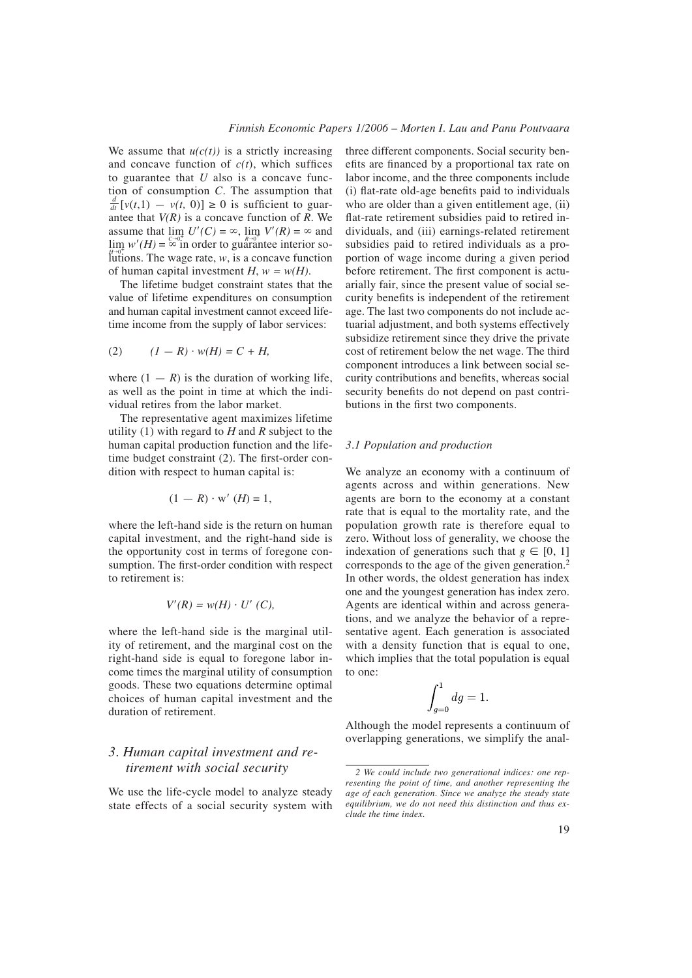We assume that  $u(c(t))$  is a strictly increasing and concave function of  $c(t)$ , which suffices <sup>t</sup><sup>o</sup> guarantee <sup>t</sup>ha<sup>t</sup> *<sup>U</sup>* <sup>a</sup>ls<sup>o</sup> <sup>i</sup><sup>s</sup> <sup>a</sup> <sup>c</sup>oncav<sup>e</sup> func<sup>t</sup>ion o<sup>f</sup> <sup>c</sup>onsumption *<sup>C</sup>*. <sup>T</sup>h<sup>e</sup> <sup>a</sup>ssumption <sup>t</sup>ha<sup>t</sup> *<sup>d</sup>*  $\frac{d}{dt}$  [*v*(*t*, 1) *— v*(*t*, 0)] ≥ 0 is sufficient to guarantee that  $V(R)$  is a concave function of  $R$ . We assume that  $\lim_{\epsilon \to 0^+} U'(C) = \infty$ ,  $\lim_{\epsilon \to 0^+} V'(R) = \infty$  and<br> $\lim_{\epsilon \to 0^+} w'(H) = \infty$  in order to guarantee interior so- $\lim_{\substack{H \to 0 \\ \text{lnifons}}} w'(H) = \infty^0$  in order to guarantee interior so- $H_{\text{up}}^{\text{+}}$  and  $H_{\text{up}}^{\text{+}}$  and  $H_{\text{up}}$  and  $H_{\text{up}}^{\text{+}}$  are sumplication of human capital investment  $H_{\text{up}}^{\text{+}}$  w = w(*H*) of human capital investment  $H$ ,  $w = w(H)$ .

<sup>T</sup>h<sup>e</sup> lifetim<sup>e</sup> <sup>b</sup>udget constraint states that th<sup>e</sup> <sup>v</sup>alu<sup>e</sup> <sup>o</sup>f lifetime expenditures on <sup>c</sup>onsumption <sup>a</sup>n<sup>d</sup> huma<sup>n</sup> <sup>c</sup>apital investmen<sup>t</sup> <sup>c</sup>anno<sup>t</sup> <sup>e</sup>xceed life<sup>t</sup>im<sup>e</sup> <sup>i</sup>ncom<sup>e</sup> from the suppl<sup>y</sup> <sup>o</sup>f <sup>l</sup>abor services:

$$
(2) \qquad (I - R) \cdot w(H) = C + H,
$$

where  $(1 - R)$  is the duration of working life, <sup>a</sup><sup>s</sup> <sup>w</sup>ell <sup>a</sup>s th<sup>e</sup> <sup>p</sup>oin<sup>t</sup> <sup>i</sup><sup>n</sup> <sup>t</sup>im<sup>e</sup> <sup>a</sup><sup>t</sup> <sup>w</sup>hich <sup>t</sup>h<sup>e</sup> <sup>i</sup>ndi<sup>v</sup>idua<sup>l</sup> <sup>r</sup>etire<sup>s</sup> from <sup>t</sup>h<sup>e</sup> <sup>l</sup>abo<sup>r</sup> <sup>m</sup>arket.

<sup>T</sup>h<sup>e</sup> <sup>r</sup>epresentativ<sup>e</sup> <sup>a</sup>gen<sup>t</sup> <sup>m</sup>aximize<sup>s</sup> lifetim<sup>e</sup> <sup>u</sup>tilit<sup>y</sup> (1) <sup>w</sup>ith <sup>r</sup>egar<sup>d</sup> <sup>t</sup><sup>o</sup> *<sup>H</sup>* <sup>a</sup>n<sup>d</sup> *<sup>R</sup>* <sup>s</sup>ubject t<sup>o</sup> <sup>t</sup>h<sup>e</sup> huma<sup>n</sup> <sup>c</sup>apita<sup>l</sup> production function <sup>a</sup>n<sup>d</sup> <sup>t</sup>h<sup>e</sup> lifetime budget constraint (2). The first-order con<sup>d</sup>ition <sup>w</sup>ith <sup>r</sup>espect t<sup>o</sup> huma<sup>n</sup> <sup>c</sup>apital is:

$$
(1 - R) \cdot w' \ (H) = 1,
$$

<sup>w</sup>her<sup>e</sup> <sup>t</sup>h<sup>e</sup> <sup>l</sup>eft-han<sup>d</sup> <sup>s</sup>ide <sup>i</sup>s th<sup>e</sup> <sup>r</sup>eturn on huma<sup>n</sup> <sup>c</sup>apital investment, <sup>a</sup>n<sup>d</sup> <sup>t</sup>h<sup>e</sup> <sup>r</sup>ight-han<sup>d</sup> <sup>s</sup>ide <sup>i</sup><sup>s</sup> <sup>t</sup>h<sup>e</sup> <sup>o</sup>pportunit<sup>y</sup> <sup>c</sup>ost <sup>i</sup><sup>n</sup> <sup>t</sup>erm<sup>s</sup> <sup>o</sup>f foregone consumption. The first-order condition with respect to retirement is:

$$
V'(R) = w(H) \cdot U'(C),
$$

<sup>w</sup>her<sup>e</sup> <sup>t</sup>h<sup>e</sup> <sup>l</sup>eft-han<sup>d</sup> <sup>s</sup>ide <sup>i</sup>s th<sup>e</sup> <sup>m</sup>argina<sup>l</sup> <sup>u</sup>til<sup>i</sup>t<sup>y</sup> <sup>o</sup>f <sup>r</sup>etirement, <sup>a</sup>n<sup>d</sup> <sup>t</sup>h<sup>e</sup> <sup>m</sup>argina<sup>l</sup> <sup>c</sup>ost on <sup>t</sup>h<sup>e</sup> <sup>r</sup>ight-han<sup>d</sup> <sup>s</sup>ide <sup>i</sup><sup>s</sup> <sup>e</sup>qua<sup>l</sup> <sup>t</sup><sup>o</sup> foregon<sup>e</sup> <sup>l</sup>abo<sup>r</sup> <sup>i</sup>n<sup>c</sup>om<sup>e</sup> <sup>t</sup>imes th<sup>e</sup> <sup>m</sup>argina<sup>l</sup> <sup>u</sup>tilit<sup>y</sup> <sup>o</sup>f <sup>c</sup>onsumption goods. <sup>T</sup>hes<sup>e</sup> <sup>t</sup>w<sup>o</sup> <sup>e</sup>quation<sup>s</sup> determin<sup>e</sup> <sup>o</sup>ptima<sup>l</sup> <sup>c</sup>hoice<sup>s</sup> <sup>o</sup>f huma<sup>n</sup> <sup>c</sup>apital investmen<sup>t</sup> <sup>a</sup>n<sup>d</sup> <sup>t</sup>h<sup>e</sup> <sup>d</sup>uration of <sup>r</sup>etirement.

### 3. Human capital investment and re*<sup>t</sup>iremen<sup>t</sup> <sup>w</sup>ith <sup>s</sup>ocia<sup>l</sup> <sup>s</sup>ecurit<sup>y</sup>*

<sup>W</sup><sup>e</sup> <sup>u</sup>s<sup>e</sup> <sup>t</sup>h<sup>e</sup> life-cycl<sup>e</sup> mode<sup>l</sup> <sup>t</sup><sup>o</sup> <sup>a</sup>nalyz<sup>e</sup> stead<sup>y</sup> state effects <sup>o</sup>f <sup>a</sup> <sup>s</sup>ocia<sup>l</sup> <sup>s</sup>ecurit<sup>y</sup> <sup>s</sup>yste<sup>m</sup> <sup>w</sup>ith <sup>t</sup>hree differen<sup>t</sup> <sup>c</sup>omponents. <sup>S</sup>ocia<sup>l</sup> <sup>s</sup>ecurit<sup>y</sup> <sup>b</sup>enefits are financed by a proportional tax rate on <sup>l</sup>abo<sup>r</sup> <sup>i</sup>ncome, <sup>a</sup>n<sup>d</sup> <sup>t</sup>h<sup>e</sup> <sup>t</sup>hree components <sup>i</sup>nclude (i) flat-rate old-age benefits paid to individuals <sup>w</sup>h<sup>o</sup> <sup>a</sup>r<sup>e</sup> <sup>o</sup>lder tha<sup>n</sup> <sup>a</sup> give<sup>n</sup> <sup>e</sup>ntitlemen<sup>t</sup> <sup>a</sup>ge, (ii) flat-rate retirement subsidies paid to retired in<sup>d</sup>ividuals, <sup>a</sup>n<sup>d</sup> (iii) <sup>e</sup>arnings-related <sup>r</sup>etiremen<sup>t</sup> subsidies paid to retired individuals as a pro<sup>p</sup>ortion of <sup>w</sup>ag<sup>e</sup> <sup>i</sup>ncome during <sup>a</sup> give<sup>n</sup> <sup>p</sup>erio<sup>d</sup> before retirement. The first component is actu<sup>a</sup>riall<sup>y</sup> fair, <sup>s</sup>ince <sup>t</sup>h<sup>e</sup> presen<sup>t</sup> <sup>v</sup>alu<sup>e</sup> <sup>o</sup>f <sup>s</sup>ocia<sup>l</sup> <sup>s</sup>ecurity benefits is independent of the retirement <sup>a</sup>ge. <sup>T</sup>h<sup>e</sup> <sup>l</sup>ast tw<sup>o</sup> <sup>c</sup>omponents <sup>d</sup>o no<sup>t</sup> <sup>i</sup>nclude <sup>a</sup>c<sup>t</sup>uaria<sup>l</sup> <sup>a</sup>djustment, <sup>a</sup>n<sup>d</sup> <sup>b</sup>oth <sup>s</sup>ystem<sup>s</sup> <sup>e</sup>ffectivel<sup>y</sup> <sup>s</sup>ubsidiz<sup>e</sup> <sup>r</sup>etirement since <sup>t</sup>he<sup>y</sup> <sup>d</sup>riv<sup>e</sup> <sup>t</sup>h<sup>e</sup> privat<sup>e</sup> <sup>c</sup>ost <sup>o</sup>f <sup>r</sup>etiremen<sup>t</sup> <sup>b</sup>elo<sup>w</sup> <sup>t</sup>h<sup>e</sup> <sup>n</sup>e<sup>t</sup> <sup>w</sup>age. <sup>T</sup>h<sup>e</sup> <sup>t</sup>hir<sup>d</sup> component introduces a link between social security contributions and benefits, whereas social security benefits do not depend on past contributions in the first two components.

#### *3.1 Population and production*

<sup>W</sup><sup>e</sup> <sup>a</sup>nalyz<sup>e</sup> <sup>a</sup><sup>n</sup> economy with <sup>a</sup> <sup>c</sup>ontinuum of <sup>a</sup>gents <sup>a</sup>cross <sup>a</sup>n<sup>d</sup> <sup>w</sup>ithi<sup>n</sup> generations. <sup>N</sup>e<sup>w</sup> <sup>a</sup>gents <sup>a</sup>r<sup>e</sup> <sup>b</sup>or<sup>n</sup> <sup>t</sup><sup>o</sup> <sup>t</sup>he econom<sup>y</sup> <sup>a</sup><sup>t</sup> <sup>a</sup> <sup>c</sup>onstan<sup>t</sup> <sup>r</sup>at<sup>e</sup> <sup>t</sup>ha<sup>t</sup> <sup>i</sup><sup>s</sup> <sup>e</sup>qua<sup>l</sup> <sup>t</sup><sup>o</sup> <sup>t</sup>h<sup>e</sup> mortalit<sup>y</sup> <sup>r</sup>ate, <sup>a</sup>n<sup>d</sup> <sup>t</sup>h<sup>e</sup> <sup>p</sup>opulation growth <sup>r</sup>at<sup>e</sup> <sup>i</sup>s therefore equa<sup>l</sup> <sup>t</sup><sup>o</sup> <sup>z</sup>ero. <sup>W</sup>ithou<sup>t</sup> <sup>l</sup>oss <sup>o</sup>f generality, <sup>w</sup>e choos<sup>e</sup> <sup>t</sup>h<sup>e</sup> indexation of generations such that  $g \in [0, 1]$ corresponds to the age of the given generation.<sup>2</sup><br>In other words, the oldest generation has index <sup>I</sup>n othe<sup>r</sup> <sup>w</sup>ords, <sup>t</sup>h<sup>e</sup> <sup>o</sup>ldest generation ha<sup>s</sup> <sup>i</sup>nde<sup>x</sup> on<sup>e</sup> <sup>a</sup>n<sup>d</sup> <sup>t</sup>h<sup>e</sup> <sup>y</sup>oungest generation ha<sup>s</sup> <sup>i</sup>ndex zero. <sup>A</sup>gents <sup>a</sup>r<sup>e</sup> <sup>i</sup>dentica<sup>l</sup> <sup>w</sup>ithi<sup>n</sup> <sup>a</sup>n<sup>d</sup> <sup>a</sup>cross genera<sup>t</sup>ions, <sup>a</sup>n<sup>d</sup> <sup>w</sup><sup>e</sup> <sup>a</sup>nalyz<sup>e</sup> <sup>t</sup>h<sup>e</sup> <sup>b</sup>ehavio<sup>r</sup> <sup>o</sup>f <sup>a</sup> <sup>r</sup>epre<sup>s</sup>entativ<sup>e</sup> <sup>a</sup>gent. <sup>E</sup>ach generation <sup>i</sup><sup>s</sup> <sup>a</sup>ssociated with a density function that is equal to one, <sup>w</sup>hich <sup>i</sup>mplies that th<sup>e</sup> <sup>t</sup>ota<sup>l</sup> <sup>p</sup>opulation <sup>i</sup><sup>s</sup> <sup>e</sup>qua<sup>l</sup> to one:

$$
\int_{g=0}^{1} dg = 1.
$$

<sup>A</sup>lthough <sup>t</sup>h<sup>e</sup> mode<sup>l</sup> <sup>r</sup>epresents <sup>a</sup> <sup>c</sup>ontinuum of <sup>o</sup>verlapping generations, <sup>w</sup><sup>e</sup> <sup>s</sup>implif<sup>y</sup> <sup>t</sup>h<sup>e</sup> <sup>a</sup>nal-

<sup>2</sup> We could include two generational indices: one representing the point of time, and another representing the age of each generation. Since we analyze the steady state equilibrium, we do not need this distinction and thus ex*<sup>c</sup>lude <sup>t</sup>h<sup>e</sup> <sup>t</sup>im<sup>e</sup> <sup>i</sup>ndex.*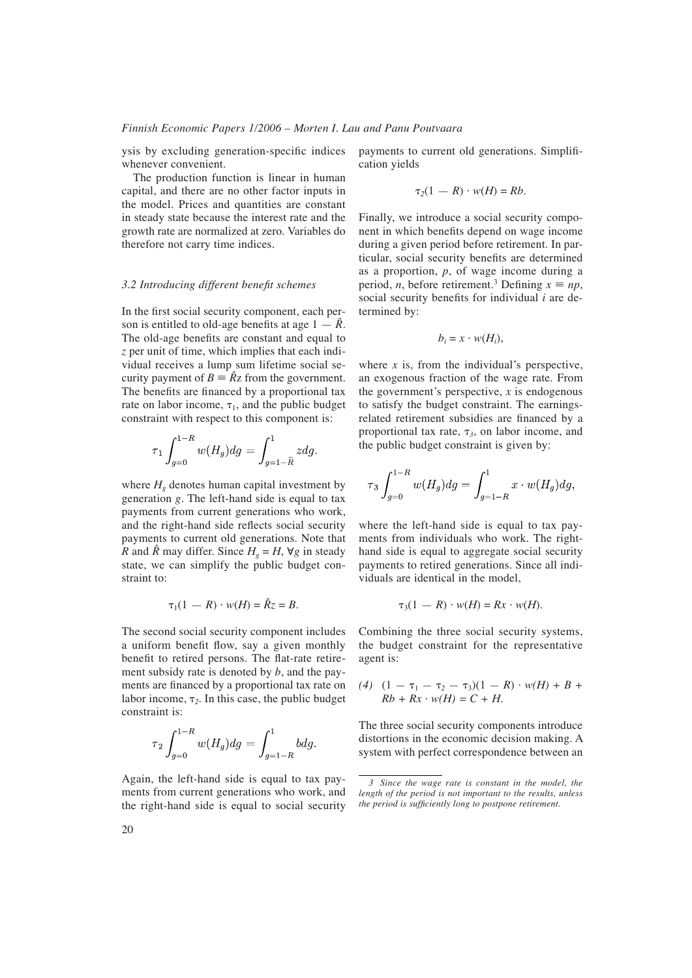ysis by excluding generation-specific indices <sup>w</sup>heneve<sup>r</sup> <sup>c</sup>onvenient.

<sup>T</sup>h<sup>e</sup> production <sup>f</sup>unction <sup>i</sup><sup>s</sup> linea<sup>r</sup> <sup>i</sup><sup>n</sup> huma<sup>n</sup> <sup>c</sup>apital, <sup>a</sup>n<sup>d</sup> <sup>t</sup>her<sup>e</sup> <sup>a</sup>r<sup>e</sup> no othe<sup>r</sup> facto<sup>r</sup> <sup>i</sup>nputs <sup>i</sup><sup>n</sup> <sup>t</sup>h<sup>e</sup> model. <sup>P</sup>rice<sup>s</sup> <sup>a</sup>n<sup>d</sup> <sup>q</sup>uantitie<sup>s</sup> <sup>a</sup>re constan<sup>t</sup> <sup>i</sup><sup>n</sup> stead<sup>y</sup> stat<sup>e</sup> <sup>b</sup>ecaus<sup>e</sup> <sup>t</sup>h<sup>e</sup> <sup>i</sup>nterest rat<sup>e</sup> <sup>a</sup>n<sup>d</sup> <sup>t</sup>h<sup>e</sup> growth <sup>r</sup>at<sup>e</sup> <sup>a</sup>r<sup>e</sup> normalized <sup>a</sup><sup>t</sup> <sup>z</sup>ero. <sup>V</sup>ariable<sup>s</sup> <sup>d</sup><sup>o</sup> <sup>t</sup>herefor<sup>e</sup> no<sup>t</sup> <sup>c</sup>arr<sup>y</sup> <sup>t</sup>im<sup>e</sup> <sup>i</sup>ndices.

### *3.2 Introducing different benefit schemes*

In the first social security component, each person is entitled to old-age benefits at age  $1 - \hat{R}$ . The old-age benefits are constant and equal to *<sup>z</sup>* <sup>p</sup>e<sup>r</sup> <sup>u</sup>ni<sup>t</sup> <sup>o</sup>f <sup>t</sup>ime, <sup>w</sup>hich <sup>i</sup>mplies tha<sup>t</sup> <sup>e</sup>ach <sup>i</sup>ndi<sup>v</sup>idua<sup>l</sup> <sup>r</sup>eceive<sup>s</sup> <sup>a</sup> <sup>l</sup>ump su<sup>m</sup> lifetim<sup>e</sup> <sup>s</sup>ocia<sup>l</sup> <sup>s</sup>ecurity payment of  $B = \hat{R}z$  from the government. The benefits are financed by a proportional tax rate on labor income,  $\tau_1$ , and the public budget <sup>c</sup>onstrain<sup>t</sup> <sup>w</sup>ith <sup>r</sup>espect t<sup>o</sup> <sup>t</sup>hi<sup>s</sup> <sup>c</sup>omponen<sup>t</sup> <sup>i</sup>s:

$$
\tau_1 \int_{g=0}^{1-R} w(H_g) dg = \int_{g=1-\hat{R}}^1 z dg.
$$

where  $H<sub>g</sub>$  denotes human capital investment by generation *g*. <sup>T</sup>h<sup>e</sup> <sup>l</sup>eft-han<sup>d</sup> <sup>s</sup>ide <sup>i</sup><sup>s</sup> <sup>e</sup>qua<sup>l</sup> <sup>t</sup><sup>o</sup> <sup>t</sup>a<sup>x</sup> <sup>p</sup>ayments from <sup>c</sup>urren<sup>t</sup> generation<sup>s</sup> <sup>w</sup>h<sup>o</sup> <sup>w</sup>ork, and the right-hand side reflects social security <sup>p</sup>ayments t<sup>o</sup> <sup>c</sup>urren<sup>t</sup> <sup>o</sup>l<sup>d</sup> generations. <sup>N</sup>ot<sup>e</sup> <sup>t</sup>ha<sup>t</sup> *R* and  $\hat{R}$  may differ. Since  $H_g = H$ ,  $\forall g$  in steady state, <sup>w</sup>e ca<sup>n</sup> <sup>s</sup>implif<sup>y</sup> <sup>t</sup>h<sup>e</sup> <sup>p</sup>ubli<sup>c</sup> <sup>b</sup>udge<sup>t</sup> <sup>c</sup>onstraint to:

$$
\tau_1(1 - R) \cdot w(H) = \hat{R}z = B.
$$

<sup>T</sup>h<sup>e</sup> <sup>s</sup>econ<sup>d</sup> <sup>s</sup>ocia<sup>l</sup> <sup>s</sup>ecurit<sup>y</sup> <sup>c</sup>omponen<sup>t</sup> <sup>i</sup>nclude<sup>s</sup> a uniform benefit flow, say a given monthly benefit to retired persons. The flat-rate retire<sup>m</sup>ent subsid<sup>y</sup> <sup>r</sup>at<sup>e</sup> <sup>i</sup><sup>s</sup> denoted <sup>b</sup><sup>y</sup> *<sup>b</sup>*, <sup>a</sup>n<sup>d</sup> <sup>t</sup>h<sup>e</sup> <sup>p</sup>ayments are financed by a proportional tax rate on labor income,  $\tau_2$ . In this case, the public budget constraint is:

$$
\tau_2 \int_{g=0}^{1-R} w(H_g) dg = \int_{g=1-R}^{1} b dg.
$$

<sup>A</sup>gain, <sup>t</sup>h<sup>e</sup> <sup>l</sup>eft-han<sup>d</sup> <sup>s</sup>ide <sup>i</sup><sup>s</sup> <sup>e</sup>qua<sup>l</sup> <sup>t</sup><sup>o</sup> <sup>t</sup>a<sup>x</sup> <sup>p</sup>ay<sup>m</sup>ents from <sup>c</sup>urren<sup>t</sup> generation<sup>s</sup> <sup>w</sup>h<sup>o</sup> <sup>w</sup>ork, <sup>a</sup>n<sup>d</sup> <sup>t</sup>h<sup>e</sup> <sup>r</sup>ight-han<sup>d</sup> <sup>s</sup>ide <sup>i</sup><sup>s</sup> <sup>e</sup>qua<sup>l</sup> <sup>t</sup><sup>o</sup> <sup>s</sup>ocia<sup>l</sup> <sup>s</sup>ecurit<sup>y</sup> payments to current old generations. Simplification yields

$$
\tau_2(1 - R) \cdot w(H) = Rb.
$$

Finally, we introduce a social security component in which benefits depend on wage income <sup>d</sup>uring <sup>a</sup> give<sup>n</sup> <sup>p</sup>erio<sup>d</sup> <sup>b</sup>efor<sup>e</sup> <sup>r</sup>etirement. <sup>I</sup><sup>n</sup> <sup>p</sup>articular, social security benefits are determined <sup>a</sup><sup>s</sup> <sup>a</sup> proportion, *<sup>p</sup>*, <sup>o</sup>f <sup>w</sup>ag<sup>e</sup> <sup>i</sup>ncome during <sup>a</sup> period, *n*, before retirement.<sup>3</sup> Defining  $x \equiv np$ , social security benefits for individual *i* are determined by:

$$
b_i = x \cdot w(H_i),
$$

where  $x$  is, from the individual's perspective, <sup>a</sup><sup>n</sup> <sup>e</sup>xogenou<sup>s</sup> fraction of <sup>t</sup>h<sup>e</sup> <sup>w</sup>ag<sup>e</sup> <sup>r</sup>ate. <sup>F</sup>rom <sup>t</sup>h<sup>e</sup> government's perspective, *<sup>x</sup>* <sup>i</sup><sup>s</sup> <sup>e</sup>ndogenou<sup>s</sup> <sup>t</sup><sup>o</sup> <sup>s</sup>atisf<sup>y</sup> <sup>t</sup>h<sup>e</sup> <sup>b</sup>udge<sup>t</sup> <sup>c</sup>onstraint. <sup>T</sup>he earningsrelated retirement subsidies are financed by a proportional tax rate,  $\tau_3$ , on labor income, and <sup>t</sup>h<sup>e</sup> <sup>p</sup>ubli<sup>c</sup> <sup>b</sup>udge<sup>t</sup> <sup>c</sup>onstrain<sup>t</sup> <sup>i</sup><sup>s</sup> give<sup>n</sup> <sup>b</sup>y:

$$
\tau_3 \int_{g=0}^{1-R} w(H_g) dg = \int_{g=1-R}^{1} x \cdot w(H_g) dg,
$$

<sup>w</sup>her<sup>e</sup> <sup>t</sup>h<sup>e</sup> <sup>l</sup>eft-han<sup>d</sup> <sup>s</sup>ide <sup>i</sup><sup>s</sup> <sup>e</sup>qua<sup>l</sup> <sup>t</sup><sup>o</sup> <sup>t</sup>a<sup>x</sup> <sup>p</sup>ay<sup>m</sup>ents from <sup>i</sup>ndividual<sup>s</sup> <sup>w</sup>h<sup>o</sup> <sup>w</sup>ork. <sup>T</sup>h<sup>e</sup> <sup>r</sup>ighthan<sup>d</sup> <sup>s</sup>ide <sup>i</sup><sup>s</sup> <sup>e</sup>qua<sup>l</sup> <sup>t</sup><sup>o</sup> <sup>a</sup>ggregat<sup>e</sup> <sup>s</sup>ocia<sup>l</sup> <sup>s</sup>ecurit<sup>y</sup> <sup>p</sup>ayments t<sup>o</sup> <sup>r</sup>etired generations. <sup>S</sup>ince <sup>a</sup>ll indi<sup>v</sup>idual<sup>s</sup> <sup>a</sup>r<sup>e</sup> <sup>i</sup>dentical i<sup>n</sup> <sup>t</sup>h<sup>e</sup> model,

$$
\tau_3(1 - R) \cdot w(H) = Rx \cdot w(H).
$$

<sup>C</sup>ombining <sup>t</sup>h<sup>e</sup> <sup>t</sup>hree <sup>s</sup>ocia<sup>l</sup> <sup>s</sup>ecurit<sup>y</sup> <sup>s</sup>ystems, <sup>t</sup>h<sup>e</sup> <sup>b</sup>udge<sup>t</sup> <sup>c</sup>onstrain<sup>t</sup> for th<sup>e</sup> <sup>r</sup>epresentativ<sup>e</sup> <sup>a</sup>gen<sup>t</sup> <sup>i</sup>s:

(4) 
$$
(1 - \tau_1 - \tau_2 - \tau_3)(1 - R) \cdot w(H) + B + Rb + Rx \cdot w(H) = C + H.
$$

<sup>T</sup>h<sup>e</sup> <sup>t</sup>hree <sup>s</sup>ocia<sup>l</sup> <sup>s</sup>ecurit<sup>y</sup> <sup>c</sup>omponents <sup>i</sup>ntroduce <sup>d</sup>istortion<sup>s</sup> <sup>i</sup><sup>n</sup> <sup>t</sup>he economic decision making. <sup>A</sup> <sup>s</sup>yste<sup>m</sup> <sup>w</sup>ith <sup>p</sup>erfec<sup>t</sup> <sup>c</sup>orrespondence <sup>b</sup>etwee<sup>n</sup> <sup>a</sup><sup>n</sup>

<sup>3</sup> Since the wage rate is constant in the model, the length of the period is not important to the results, unless *the period is sufficiently long to postpone retirement.*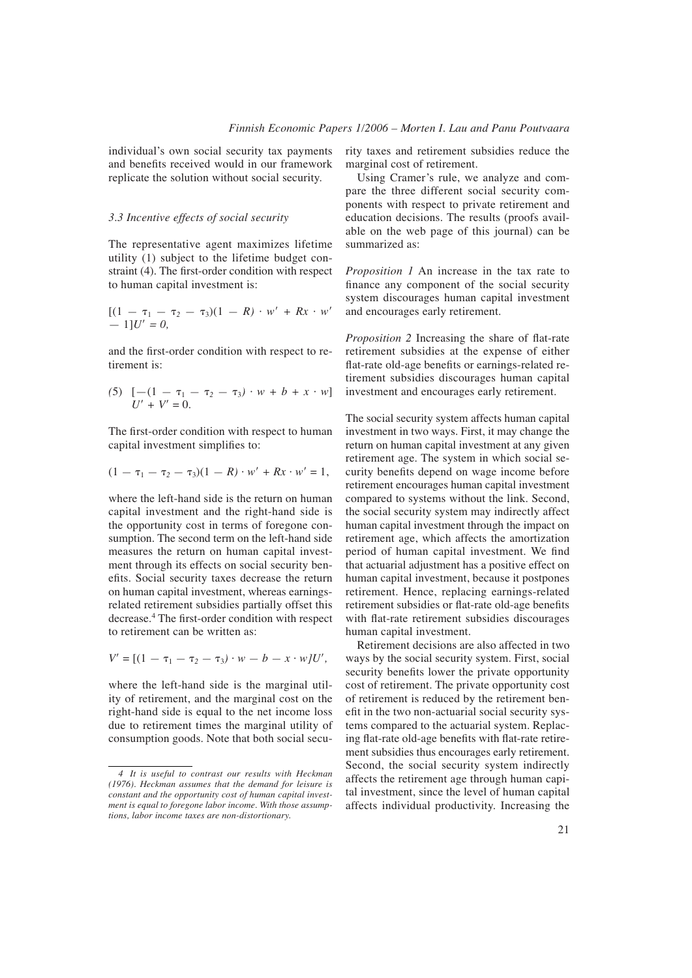individual's own social security tax payments and benefits received would in our framework <sup>r</sup>eplicat<sup>e</sup> <sup>t</sup>h<sup>e</sup> <sup>s</sup>olution <sup>w</sup>ithout socia<sup>l</sup> <sup>s</sup>ecurity.

#### 3.3 Incentive effects of social security

<sup>T</sup>h<sup>e</sup> <sup>r</sup>epresentativ<sup>e</sup> <sup>a</sup>gen<sup>t</sup> <sup>m</sup>aximize<sup>s</sup> lifetim<sup>e</sup> <sup>u</sup>tilit<sup>y</sup> (1) subject t<sup>o</sup> <sup>t</sup>h<sup>e</sup> lifetim<sup>e</sup> <sup>b</sup>udge<sup>t</sup> <sup>c</sup>onstraint (4). The first-order condition with respect <sup>t</sup><sup>o</sup> huma<sup>n</sup> <sup>c</sup>apital investmen<sup>t</sup> <sup>i</sup>s:

$$
[(1 - \tau_1 - \tau_2 - \tau_3)(1 - R) \cdot w' + Rx \cdot w'
$$
  
- 1]*U'* = 0,

and the first-order condition with respect to retirement is:

(5) 
$$
[-(1 - \tau_1 - \tau_2 - \tau_3) \cdot w + b + x \cdot w]
$$
  
  $U' + V' = 0.$ 

The first-order condition with respect to human capital investment simplifies to:

$$
(1 - \tau_1 - \tau_2 - \tau_3)(1 - R) \cdot w' + Rx \cdot w' = 1,
$$

<sup>w</sup>her<sup>e</sup> <sup>t</sup>h<sup>e</sup> <sup>l</sup>eft-han<sup>d</sup> <sup>s</sup>ide <sup>i</sup>s th<sup>e</sup> <sup>r</sup>eturn on <sup>h</sup>uma<sup>n</sup> <sup>c</sup>apital investmen<sup>t</sup> <sup>a</sup>n<sup>d</sup> <sup>t</sup>h<sup>e</sup> <sup>r</sup>ight-han<sup>d</sup> <sup>s</sup>ide <sup>i</sup><sup>s</sup> <sup>t</sup>h<sup>e</sup> <sup>o</sup>pportunit<sup>y</sup> <sup>c</sup>ost <sup>i</sup><sup>n</sup> <sup>t</sup>erm<sup>s</sup> <sup>o</sup>f foregone con<sup>s</sup>umption. <sup>T</sup>h<sup>e</sup> <sup>s</sup>econ<sup>d</sup> <sup>t</sup>erm on <sup>t</sup>h<sup>e</sup> <sup>l</sup>eft-han<sup>d</sup> <sup>s</sup>ide <sup>m</sup>easures th<sup>e</sup> <sup>r</sup>eturn on huma<sup>n</sup> <sup>c</sup>apital invest<sup>m</sup>ent through <sup>i</sup>ts <sup>e</sup>ffects on <sup>s</sup>ocia<sup>l</sup> <sup>s</sup>ecurit<sup>y</sup> <sup>b</sup>enefits. Social security taxes decrease the return on huma<sup>n</sup> <sup>c</sup>apital investment, <sup>w</sup>herea<sup>s</sup> <sup>e</sup>arnings<sup>r</sup>elated <sup>r</sup>etirement subsidies partiall<sup>y</sup> <sup>o</sup>ffset thi<sup>s</sup> decrease. <sup>4</sup> The first-order condition with respect to retirement can be written as:

$$
V' = [(1 - \tau_1 - \tau_2 - \tau_3) \cdot w - b - x \cdot w]U',
$$

<sup>w</sup>her<sup>e</sup> <sup>t</sup>h<sup>e</sup> <sup>l</sup>eft-han<sup>d</sup> <sup>s</sup>ide <sup>i</sup>s th<sup>e</sup> <sup>m</sup>argina<sup>l</sup> <sup>u</sup>til<sup>i</sup>t<sup>y</sup> <sup>o</sup>f <sup>r</sup>etirement, <sup>a</sup>n<sup>d</sup> <sup>t</sup>h<sup>e</sup> <sup>m</sup>argina<sup>l</sup> <sup>c</sup>ost on <sup>t</sup>h<sup>e</sup> <sup>r</sup>ight-han<sup>d</sup> <sup>s</sup>ide <sup>i</sup><sup>s</sup> <sup>e</sup>qua<sup>l</sup> <sup>t</sup><sup>o</sup> <sup>t</sup>h<sup>e</sup> <sup>n</sup>e<sup>t</sup> <sup>i</sup>ncom<sup>e</sup> <sup>l</sup>oss <sup>d</sup>u<sup>e</sup> <sup>t</sup><sup>o</sup> <sup>r</sup>etirement times th<sup>e</sup> <sup>m</sup>argina<sup>l</sup> <sup>u</sup>tilit<sup>y</sup> <sup>o</sup>f <sup>c</sup>onsumption goods. <sup>N</sup>ot<sup>e</sup> <sup>t</sup>ha<sup>t</sup> <sup>b</sup>oth <sup>s</sup>ocia<sup>l</sup> <sup>s</sup>ecu<sup>r</sup>it<sup>y</sup> <sup>t</sup>axe<sup>s</sup> <sup>a</sup>n<sup>d</sup> <sup>r</sup>etirement subsidies reduce <sup>t</sup>h<sup>e</sup> <sup>m</sup>argina<sup>l</sup> <sup>c</sup>ost <sup>o</sup>f <sup>r</sup>etirement.

<sup>U</sup>sing <sup>C</sup>ramer's rule, <sup>w</sup><sup>e</sup> <sup>a</sup>nalyz<sup>e</sup> <sup>a</sup>nd com<sup>p</sup>ar<sup>e</sup> <sup>t</sup>h<sup>e</sup> <sup>t</sup>hree different socia<sup>l</sup> <sup>s</sup>ecurit<sup>y</sup> <sup>c</sup>om<sup>p</sup>onents <sup>w</sup>ith <sup>r</sup>espect t<sup>o</sup> privat<sup>e</sup> <sup>r</sup>etiremen<sup>t</sup> <sup>a</sup>n<sup>d</sup> education decisions. <sup>T</sup>h<sup>e</sup> <sup>r</sup>esults (proof<sup>s</sup> <sup>a</sup>vailabl<sup>e</sup> on <sup>t</sup>h<sup>e</sup> <sup>w</sup>e<sup>b</sup> <sup>p</sup>ag<sup>e</sup> <sup>o</sup>f <sup>t</sup>hi<sup>s</sup> <sup>j</sup>ournal) <sup>c</sup>a<sup>n</sup> <sup>b</sup><sup>e</sup> summarized as:

*<sup>P</sup>roposition 1* <sup>A</sup><sup>n</sup> <sup>i</sup>ncreas<sup>e</sup> <sup>i</sup><sup>n</sup> <sup>t</sup>h<sup>e</sup> <sup>t</sup>a<sup>x</sup> <sup>r</sup>at<sup>e</sup> <sup>t</sup><sup>o</sup> finance any component of the social security <sup>s</sup>yste<sup>m</sup> <sup>d</sup>iscourage<sup>s</sup> huma<sup>n</sup> <sup>c</sup>apital investmen<sup>t</sup> <sup>a</sup>nd encourage<sup>s</sup> <sup>e</sup>arl<sup>y</sup> <sup>r</sup>etirement.

*Proposition 2* Increasing the share of flat-rate <sup>r</sup>etirement subsidie<sup>s</sup> <sup>a</sup>t the expens<sup>e</sup> <sup>o</sup>f <sup>e</sup>ithe<sup>r</sup> flat-rate old-age benefits or earnings-related re<sup>t</sup>irement subsidie<sup>s</sup> <sup>d</sup>iscourage<sup>s</sup> huma<sup>n</sup> <sup>c</sup>apita<sup>l</sup> <sup>i</sup>nvestmen<sup>t</sup> <sup>a</sup>nd encourage<sup>s</sup> <sup>e</sup>arl<sup>y</sup> <sup>r</sup>etirement.

<sup>T</sup>he social security syste<sup>m</sup> <sup>a</sup>ffects huma<sup>n</sup> <sup>c</sup>apita<sup>l</sup> <sup>i</sup>nvestment in tw<sup>o</sup> <sup>w</sup>ays. First, <sup>i</sup>t ma<sup>y</sup> <sup>c</sup>hange th<sup>e</sup> <sup>r</sup>eturn on huma<sup>n</sup> <sup>c</sup>apital investmen<sup>t</sup> <sup>a</sup><sup>t</sup> <sup>a</sup>n<sup>y</sup> give<sup>n</sup> <sup>r</sup>etiremen<sup>t</sup> <sup>a</sup>ge. <sup>T</sup>h<sup>e</sup> <sup>s</sup>yste<sup>m</sup> <sup>i</sup><sup>n</sup> <sup>w</sup>hich <sup>s</sup>ocia<sup>l</sup> <sup>s</sup>ecurity benefits depend on wage income before <sup>r</sup>etiremen<sup>t</sup> <sup>e</sup>ncourage<sup>s</sup> huma<sup>n</sup> <sup>c</sup>apital investmen<sup>t</sup> <sup>c</sup>ompared <sup>t</sup><sup>o</sup> <sup>s</sup>ystem<sup>s</sup> <sup>w</sup>ithout th<sup>e</sup> link. <sup>S</sup>econd, <sup>t</sup>h<sup>e</sup> <sup>s</sup>ocia<sup>l</sup> <sup>s</sup>ecurit<sup>y</sup> <sup>s</sup>ystem ma<sup>y</sup> <sup>i</sup>ndirectl<sup>y</sup> <sup>a</sup>ffec<sup>t</sup> huma<sup>n</sup> <sup>c</sup>apital investment through th<sup>e</sup> <sup>i</sup>mpact on <sup>r</sup>etiremen<sup>t</sup> <sup>a</sup>ge, <sup>w</sup>hich <sup>a</sup>ffects th<sup>e</sup> <sup>a</sup>mortization period of human capital investment. We find <sup>t</sup>ha<sup>t</sup> <sup>a</sup>ctuaria<sup>l</sup> <sup>a</sup>djustmen<sup>t</sup> ha<sup>s</sup> <sup>a</sup> <sup>p</sup>ositive effec<sup>t</sup> on huma<sup>n</sup> <sup>c</sup>apital investment, <sup>b</sup>ecaus<sup>e</sup> <sup>i</sup>t postpone<sup>s</sup> <sup>r</sup>etirement. <sup>H</sup>ence, <sup>r</sup>eplacing <sup>e</sup>arnings-related retirement subsidies or flat-rate old-age benefits with flat-rate retirement subsidies discourages huma<sup>n</sup> <sup>c</sup>apital investment.

<sup>R</sup>etiremen<sup>t</sup> decision<sup>s</sup> <sup>a</sup>r<sup>e</sup> <sup>a</sup>ls<sup>o</sup> <sup>a</sup>ffected <sup>i</sup><sup>n</sup> <sup>t</sup>w<sup>o</sup> <sup>w</sup>ay<sup>s</sup> <sup>b</sup><sup>y</sup> <sup>t</sup>h<sup>e</sup> <sup>s</sup>ocia<sup>l</sup> <sup>s</sup>ecurit<sup>y</sup> <sup>s</sup>ystem. <sup>F</sup>irst, <sup>s</sup>ocia<sup>l</sup> security benefits lower the private opportunity <sup>c</sup>ost <sup>o</sup>f <sup>r</sup>etirement. <sup>T</sup>h<sup>e</sup> privat<sup>e</sup> <sup>o</sup>pportunit<sup>y</sup> <sup>c</sup>ost <sup>o</sup>f <sup>r</sup>etiremen<sup>t</sup> <sup>i</sup>s reduced <sup>b</sup><sup>y</sup> <sup>t</sup>h<sup>e</sup> <sup>r</sup>etiremen<sup>t</sup> <sup>b</sup>enefit in the two non-actuarial social security sys<sup>t</sup>em<sup>s</sup> <sup>c</sup>ompared <sup>t</sup><sup>o</sup> <sup>t</sup>h<sup>e</sup> <sup>a</sup>ctuaria<sup>l</sup> <sup>s</sup>ystem. <sup>R</sup>eplacing flat-rate old-age benefits with flat-rate retire<sup>m</sup>ent subsidies thu<sup>s</sup> <sup>e</sup>ncourage<sup>s</sup> <sup>e</sup>arl<sup>y</sup> <sup>r</sup>etirement. <sup>S</sup>econd, <sup>t</sup>h<sup>e</sup> <sup>s</sup>ocia<sup>l</sup> <sup>s</sup>ecurit<sup>y</sup> <sup>s</sup>yste<sup>m</sup> <sup>i</sup>ndirectl<sup>y</sup> <sup>a</sup>ffects th<sup>e</sup> <sup>r</sup>etiremen<sup>t</sup> <sup>a</sup>g<sup>e</sup> <sup>t</sup>hrough huma<sup>n</sup> <sup>c</sup>api<sup>t</sup>al investment, <sup>s</sup>ince <sup>t</sup>h<sup>e</sup> <sup>l</sup>eve<sup>l</sup> <sup>o</sup>f huma<sup>n</sup> <sup>c</sup>apita<sup>l</sup> <sup>a</sup>ffects <sup>i</sup>ndividua<sup>l</sup> productivity. <sup>I</sup>ncreasing <sup>t</sup>h<sup>e</sup>

<sup>4</sup> It is useful to contrast our results with Heckman (1976). Heckman assumes that the demand for leisure is constant and the opportunity cost of human capital investment is equal to foregone labor income. With those assumptions, labor income taxes are non-distortionary.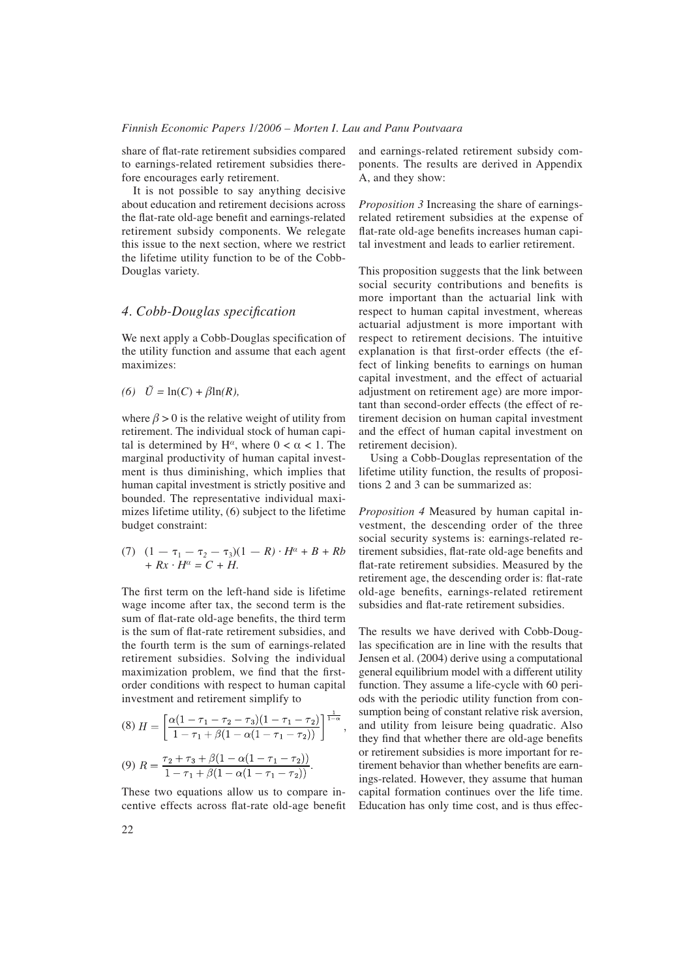share of flat-rate retirement subsidies compared <sup>t</sup><sup>o</sup> <sup>e</sup>arnings-related <sup>r</sup>etirement subsidies there<sup>f</sup>ore encourage<sup>s</sup> <sup>e</sup>arl<sup>y</sup> <sup>r</sup>etirement.

<sup>I</sup><sup>t</sup> <sup>i</sup><sup>s</sup> not possibl<sup>e</sup> <sup>t</sup><sup>o</sup> <sup>s</sup>a<sup>y</sup> <sup>a</sup>nything decisiv<sup>e</sup> about education and retirement decisions across the flat-rate old-age benefit and earnings-related <sup>r</sup>etirement subsid<sup>y</sup> <sup>c</sup>omponents. <sup>W</sup><sup>e</sup> <sup>r</sup>elegat<sup>e</sup> <sup>t</sup>hi<sup>s</sup> <sup>i</sup>ssu<sup>e</sup> <sup>t</sup><sup>o</sup> <sup>t</sup>h<sup>e</sup> <sup>n</sup>ext section, <sup>w</sup>her<sup>e</sup> <sup>w</sup><sup>e</sup> <sup>r</sup>estric<sup>t</sup> <sup>t</sup>h<sup>e</sup> lifetim<sup>e</sup> <sup>u</sup>tilit<sup>y</sup> function <sup>t</sup><sup>o</sup> <sup>b</sup><sup>e</sup> <sup>o</sup>f <sup>t</sup>h<sup>e</sup> <sup>C</sup>obb-<sup>D</sup>ougla<sup>s</sup> <sup>v</sup>ariety.

### *4. Cobb-Douglas specification*

We next apply a Cobb-Douglas specification of <sup>t</sup>h<sup>e</sup> <sup>u</sup>tilit<sup>y</sup> function <sup>a</sup>n<sup>d</sup> <sup>a</sup>ssum<sup>e</sup> <sup>t</sup>ha<sup>t</sup> <sup>e</sup>ach <sup>a</sup>gen<sup>t</sup> maximizes:

$$
(6) \quad \tilde{U} = \ln(C) + \beta \ln(R),
$$

where  $\beta > 0$  is the relative weight of utility from <sup>r</sup>etirement. <sup>T</sup>h<sup>e</sup> <sup>i</sup>ndividua<sup>l</sup> stoc<sup>k</sup> <sup>o</sup>f huma<sup>n</sup> <sup>c</sup>apital is determined by  $H^{\alpha}$ , where  $0 < \alpha < 1$ . The <sup>m</sup>argina<sup>l</sup> productivit<sup>y</sup> <sup>o</sup>f huma<sup>n</sup> <sup>c</sup>apital invest<sup>m</sup>en<sup>t</sup> <sup>i</sup>s thu<sup>s</sup> <sup>d</sup>iminishing, <sup>w</sup>hich <sup>i</sup>mplies tha<sup>t</sup> huma<sup>n</sup> <sup>c</sup>apital investment is strictly positiv<sup>e</sup> <sup>a</sup>n<sup>d</sup> <sup>b</sup>ounded. <sup>T</sup>h<sup>e</sup> <sup>r</sup>epresentativ<sup>e</sup> <sup>i</sup>ndividua<sup>l</sup> <sup>m</sup>axi<sup>m</sup>ize<sup>s</sup> lifetim<sup>e</sup> <sup>u</sup>tility, (6) subject t<sup>o</sup> <sup>t</sup>h<sup>e</sup> lifetim<sup>e</sup> <sup>b</sup>udge<sup>t</sup> <sup>c</sup>onstraint:

(7) 
$$
(1 - \tau_1 - \tau_2 - \tau_3)(1 - R) \cdot H^a + B + Rb
$$
  
+  $Rx \cdot H^a = C + H$ .

The first term on the left-hand side is lifetime <sup>w</sup>ag<sup>e</sup> <sup>i</sup>ncom<sup>e</sup> <sup>a</sup>fter tax, <sup>t</sup>h<sup>e</sup> <sup>s</sup>econ<sup>d</sup> <sup>t</sup>er<sup>m</sup> <sup>i</sup>s th<sup>e</sup> sum of flat-rate old-age benefits, the third term is the sum of flat-rate retirement subsidies, and <sup>t</sup>h<sup>e</sup> fourth <sup>t</sup>er<sup>m</sup> <sup>i</sup>s th<sup>e</sup> <sup>s</sup>um of <sup>e</sup>arnings-related <sup>r</sup>etirement subsidies. <sup>S</sup>olving <sup>t</sup>h<sup>e</sup> <sup>i</sup>ndividua<sup>l</sup> maximization problem, we find that the first<sup>o</sup>rde<sup>r</sup> <sup>c</sup>ondition<sup>s</sup> <sup>w</sup>ith <sup>r</sup>espect t<sup>o</sup> huma<sup>n</sup> <sup>c</sup>apita<sup>l</sup> <sup>i</sup>nvestmen<sup>t</sup> <sup>a</sup>n<sup>d</sup> <sup>r</sup>etirement simplif<sup>y</sup> <sup>t</sup><sup>o</sup>

(8) 
$$
H = \left[ \frac{\alpha (1 - \tau_1 - \tau_2 - \tau_3)(1 - \tau_1 - \tau_2)}{1 - \tau_1 + \beta (1 - \alpha (1 - \tau_1 - \tau_2))} \right]^{\frac{1}{1 - \alpha}}
$$
  
(9) 
$$
R = \frac{\tau_2 + \tau_3 + \beta (1 - \alpha (1 - \tau_1 - \tau_2))}{1 - \tau_1 + \beta (1 - \alpha (1 - \tau_1 - \tau_2))}.
$$

<sup>T</sup>hes<sup>e</sup> <sup>t</sup>w<sup>o</sup> <sup>e</sup>quation<sup>s</sup> <sup>a</sup>llo<sup>w</sup> <sup>u</sup>s t<sup>o</sup> <sup>c</sup>ompar<sup>e</sup> <sup>i</sup>ncentive effects across flat-rate old-age benefit <sup>a</sup>nd earnings-related <sup>r</sup>etirement subsid<sup>y</sup> <sup>c</sup>om<sup>p</sup>onents. <sup>T</sup>h<sup>e</sup> <sup>r</sup>esults <sup>a</sup>re derived <sup>i</sup><sup>n</sup> <sup>A</sup>ppendi<sup>x</sup> <sup>A</sup>, <sup>a</sup>n<sup>d</sup> <sup>t</sup>he<sup>y</sup> <sup>s</sup>how:

*<sup>P</sup>roposition <sup>3</sup>* <sup>I</sup>ncreasing <sup>t</sup>h<sup>e</sup> <sup>s</sup>har<sup>e</sup> <sup>o</sup>f <sup>e</sup>arnings<sup>r</sup>elated <sup>r</sup>etirement subsidie<sup>s</sup> <sup>a</sup>t the expens<sup>e</sup> <sup>o</sup>f flat-rate old-age benefits increases human capital investment and leads to earlier retirement.

<sup>T</sup>his proposition <sup>s</sup>uggests that th<sup>e</sup> lin<sup>k</sup> <sup>b</sup>etwee<sup>n</sup> social security contributions and benefits is mor<sup>e</sup> <sup>i</sup>mportant tha<sup>n</sup> <sup>t</sup>h<sup>e</sup> <sup>a</sup>ctuarial lin<sup>k</sup> <sup>w</sup>ith <sup>r</sup>espect t<sup>o</sup> huma<sup>n</sup> <sup>c</sup>apital investment, <sup>w</sup>herea<sup>s</sup> <sup>a</sup>ctuaria<sup>l</sup> <sup>a</sup>djustmen<sup>t</sup> <sup>i</sup><sup>s</sup> mor<sup>e</sup> <sup>i</sup>mportan<sup>t</sup> <sup>w</sup>ith <sup>r</sup>espect t<sup>o</sup> <sup>r</sup>etiremen<sup>t</sup> decisions. <sup>T</sup>h<sup>e</sup> <sup>i</sup>ntuitiv<sup>e</sup> explanation is that first-order effects (the effect of linking benefits to earnings on human <sup>c</sup>apital investment, <sup>a</sup>n<sup>d</sup> <sup>t</sup>he effec<sup>t</sup> <sup>o</sup>f <sup>a</sup>ctuaria<sup>l</sup> adjustment on retirement age) are more impor<sup>t</sup>ant tha<sup>n</sup> <sup>s</sup>econd-orde<sup>r</sup> <sup>e</sup>ffects (the effec<sup>t</sup> <sup>o</sup>f <sup>r</sup>e<sup>t</sup>iremen<sup>t</sup> decision on huma<sup>n</sup> <sup>c</sup>apital investmen<sup>t</sup> <sup>a</sup>n<sup>d</sup> <sup>t</sup>he effec<sup>t</sup> <sup>o</sup>f huma<sup>n</sup> <sup>c</sup>apital investmen<sup>t</sup> on retirement decision).

<sup>U</sup>sing <sup>a</sup> <sup>C</sup>obb-Douglas representation of <sup>t</sup>h<sup>e</sup> lifetim<sup>e</sup> <sup>u</sup>tilit<sup>y</sup> function, <sup>t</sup>h<sup>e</sup> <sup>r</sup>esults <sup>o</sup>f propositions 2 and 3 can be summarized as:

*<sup>P</sup>roposition 4* <sup>M</sup>easured <sup>b</sup><sup>y</sup> huma<sup>n</sup> <sup>c</sup>apital in<sup>v</sup>estment, <sup>t</sup>he descending <sup>o</sup>rde<sup>r</sup> <sup>o</sup>f <sup>t</sup>h<sup>e</sup> <sup>t</sup>hree <sup>s</sup>ocia<sup>l</sup> <sup>s</sup>ecurit<sup>y</sup> <sup>s</sup>ystem<sup>s</sup> <sup>i</sup>s: earnings-related <sup>r</sup>etirement subsidies, flat-rate old-age benefits and flat-rate retirement subsidies. Measured by the retirement age, the descending order is: flat-rate old-age benefits, earnings-related retirement subsidies and flat-rate retirement subsidies.

<sup>T</sup>he results w<sup>e</sup> have derived <sup>w</sup>ith <sup>C</sup>obb-Douglas specification are in line with the results that <sup>J</sup>ense<sup>n</sup> <sup>e</sup><sup>t</sup> <sup>a</sup>l. (2004) deriv<sup>e</sup> <sup>u</sup>sing <sup>a</sup> <sup>c</sup>omputationa<sup>l</sup> genera<sup>l</sup> <sup>e</sup>quilibrium mode<sup>l</sup> <sup>w</sup>ith <sup>a</sup> <sup>d</sup>ifferen<sup>t</sup> <sup>u</sup>tilit<sup>y</sup> function. The<sup>y</sup> <sup>a</sup>ssum<sup>e</sup> <sup>a</sup> life-cycl<sup>e</sup> <sup>w</sup>ith 60 peri<sup>o</sup>ds with the periodi<sup>c</sup> <sup>u</sup>tilit<sup>y</sup> function from <sup>c</sup>on<sup>s</sup>umption <sup>b</sup>eing <sup>o</sup>f <sup>c</sup>onstant relativ<sup>e</sup> <sup>r</sup>is<sup>k</sup> <sup>a</sup>version, <sup>a</sup>n<sup>d</sup> <sup>u</sup>tilit<sup>y</sup> from <sup>l</sup>eisur<sup>e</sup> <sup>b</sup>eing <sup>q</sup>uadratic. <sup>A</sup>ls<sup>o</sup> they find that whether there are old-age benefits <sup>o</sup>r retirement subsidies is mor<sup>e</sup> <sup>i</sup>mportant for retirement behavior than whether benefits are earn<sup>i</sup>ngs-related. However, the<sup>y</sup> <sup>a</sup>ssume that huma<sup>n</sup> <sup>c</sup>apita<sup>l</sup> formation <sup>c</sup>ontinue<sup>s</sup> <sup>o</sup>ver th<sup>e</sup> lif<sup>e</sup> <sup>t</sup>ime. <sup>E</sup>ducation has only time cost, <sup>a</sup>n<sup>d</sup> <sup>i</sup>s thus effec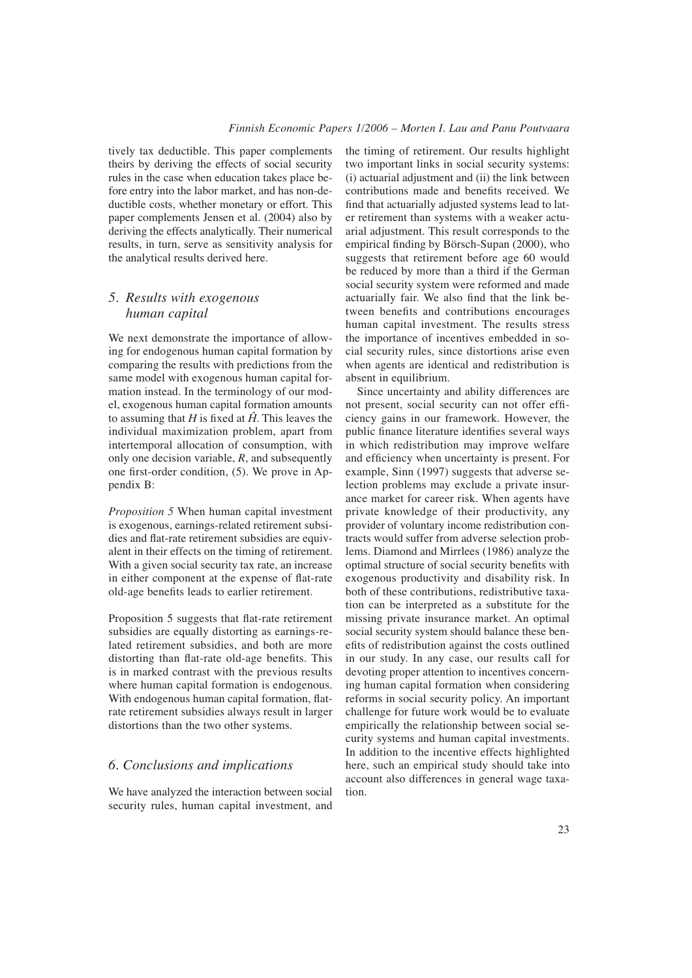<sup>t</sup>ivel<sup>y</sup> <sup>t</sup>a<sup>x</sup> deductible. <sup>T</sup>his pape<sup>r</sup> <sup>c</sup>omplements <sup>t</sup>heirs b<sup>y</sup> deriving the effects of social securit<sup>y</sup> <sup>r</sup>ules in the cas<sup>e</sup> <sup>w</sup>he<sup>n</sup> education takes place <sup>b</sup>efore entr<sup>y</sup> <sup>i</sup>nt<sup>o</sup> <sup>t</sup>h<sup>e</sup> <sup>l</sup>abo<sup>r</sup> <sup>m</sup>arket, <sup>a</sup>n<sup>d</sup> ha<sup>s</sup> non-de<sup>d</sup>uctible costs, <sup>w</sup>hether monetar<sup>y</sup> <sup>o</sup>r effort. Thi<sup>s</sup> <sup>p</sup>aper complements Jense<sup>n</sup> <sup>e</sup>t al. (2004) als<sup>o</sup> <sup>b</sup><sup>y</sup> deriving <sup>t</sup>he effects <sup>a</sup>nalytically. <sup>T</sup>hei<sup>r</sup> <sup>n</sup>umerica<sup>l</sup> <sup>r</sup>esults, <sup>i</sup>n turn, serv<sup>e</sup> <sup>a</sup>s sensitivit<sup>y</sup> <sup>a</sup>nalysis fo<sup>r</sup> <sup>t</sup>h<sup>e</sup> <sup>a</sup>nalytical results derived here.

## *5. <sup>R</sup>esults <sup>w</sup>ith <sup>e</sup>xogenou<sup>s</sup> huma<sup>n</sup> <sup>c</sup>apita<sup>l</sup>*

<sup>W</sup><sup>e</sup> <sup>n</sup>ex<sup>t</sup> demonstrat<sup>e</sup> <sup>t</sup>h<sup>e</sup> <sup>i</sup>mportance <sup>o</sup>f <sup>a</sup>llow<sup>i</sup>ng fo<sup>r</sup> <sup>e</sup>ndogenou<sup>s</sup> huma<sup>n</sup> <sup>c</sup>apita<sup>l</sup> formation <sup>b</sup><sup>y</sup> <sup>c</sup>omparing <sup>t</sup>h<sup>e</sup> <sup>r</sup>esults <sup>w</sup>ith prediction<sup>s</sup> from <sup>t</sup>h<sup>e</sup> <sup>s</sup>am<sup>e</sup> mode<sup>l</sup> <sup>w</sup>ith <sup>e</sup>xogenou<sup>s</sup> huma<sup>n</sup> <sup>c</sup>apita<sup>l</sup> for<sup>m</sup>ation <sup>i</sup>nstead. <sup>I</sup><sup>n</sup> <sup>t</sup>h<sup>e</sup> <sup>t</sup>erminolog<sup>y</sup> <sup>o</sup>f <sup>o</sup>u<sup>r</sup> mod<sup>e</sup>l, exogenou<sup>s</sup> huma<sup>n</sup> <sup>c</sup>apita<sup>l</sup> formation <sup>a</sup>mounts to assuming that *H* is fixed at  $\hat{H}$ . This leaves the <sup>i</sup>ndividua<sup>l</sup> <sup>m</sup>aximization problem, <sup>a</sup>part from <sup>i</sup>ntertempora<sup>l</sup> <sup>a</sup>llocation of <sup>c</sup>onsumption, <sup>w</sup>ith only one decision variable, *R*, and subsequently one first-order condition, (5). We prove in Appendix B:

*<sup>P</sup>roposition 5* <sup>W</sup>he<sup>n</sup> huma<sup>n</sup> <sup>c</sup>apital investmen<sup>t</sup> <sup>i</sup><sup>s</sup> <sup>e</sup>xogenous, earnings-related <sup>r</sup>etirement subsidies and flat-rate retirement subsidies are equiv<sup>a</sup>len<sup>t</sup> <sup>i</sup><sup>n</sup> <sup>t</sup>hei<sup>r</sup> <sup>e</sup>ffects on <sup>t</sup>h<sup>e</sup> <sup>t</sup>iming <sup>o</sup>f <sup>r</sup>etirement. <sup>W</sup>ith <sup>a</sup> give<sup>n</sup> <sup>s</sup>ocia<sup>l</sup> <sup>s</sup>ecurit<sup>y</sup> <sup>t</sup>a<sup>x</sup> <sup>r</sup>ate, <sup>a</sup><sup>n</sup> <sup>i</sup>ncreas<sup>e</sup> in either component at the expense of flat-rate old-age benefits leads to earlier retirement.

Proposition 5 suggests that flat-rate retirement <sup>s</sup>ubsidie<sup>s</sup> <sup>a</sup>re equall<sup>y</sup> <sup>d</sup>istorting <sup>a</sup><sup>s</sup> <sup>e</sup>arnings-re<sup>l</sup>ated <sup>r</sup>etirement subsidies, <sup>a</sup>n<sup>d</sup> <sup>b</sup>oth <sup>a</sup>r<sup>e</sup> mor<sup>e</sup> distorting than flat-rate old-age benefits. This <sup>i</sup><sup>s</sup> <sup>i</sup>n marked contrast <sup>w</sup>ith <sup>t</sup>h<sup>e</sup> previous results <sup>w</sup>her<sup>e</sup> huma<sup>n</sup> <sup>c</sup>apita<sup>l</sup> formation <sup>i</sup><sup>s</sup> <sup>e</sup>ndogenous. With endogenous human capital formation, flat<sup>r</sup>at<sup>e</sup> <sup>r</sup>etirement subsidie<sup>s</sup> <sup>a</sup>lways resul<sup>t</sup> <sup>i</sup><sup>n</sup> <sup>l</sup>arge<sup>r</sup> <sup>d</sup>istortions tha<sup>n</sup> <sup>t</sup>h<sup>e</sup> <sup>t</sup>wo other systems.

#### *6. Conclusions and implications*

<sup>W</sup><sup>e</sup> hav<sup>e</sup> <sup>a</sup>nalyzed <sup>t</sup>h<sup>e</sup> <sup>i</sup>nteraction <sup>b</sup>etwee<sup>n</sup> <sup>s</sup>ocia<sup>l</sup> <sup>s</sup>ecurit<sup>y</sup> <sup>r</sup>ules, huma<sup>n</sup> <sup>c</sup>apital investment, <sup>a</sup>n<sup>d</sup> <sup>t</sup>h<sup>e</sup> <sup>t</sup>iming <sup>o</sup>f <sup>r</sup>etirement. <sup>O</sup>ur results highligh<sup>t</sup> two important links in social security systems: (i) <sup>a</sup>ctuaria<sup>l</sup> <sup>a</sup>djustmen<sup>t</sup> <sup>a</sup>n<sup>d</sup> (ii) th<sup>e</sup> lin<sup>k</sup> <sup>b</sup>etwee<sup>n</sup> contributions made and benefits received. We find that actuarially adjusted systems lead to lat<sup>e</sup>r retirement tha<sup>n</sup> <sup>s</sup>ystem<sup>s</sup> <sup>w</sup>ith <sup>a</sup> <sup>w</sup>eake<sup>r</sup> <sup>a</sup>ctu<sup>a</sup>ria<sup>l</sup> <sup>a</sup>djustment. <sup>T</sup>his resul<sup>t</sup> <sup>c</sup>orresponds t<sup>o</sup> <sup>t</sup>h<sup>e</sup> empirical finding by Börsch-Supan (2000), who <sup>s</sup>uggests that retiremen<sup>t</sup> <sup>b</sup>efor<sup>e</sup> <sup>a</sup>g<sup>e</sup> <sup>6</sup><sup>0</sup> <sup>w</sup>oul<sup>d</sup> <sup>b</sup><sup>e</sup> <sup>r</sup>educed <sup>b</sup><sup>y</sup> mor<sup>e</sup> <sup>t</sup>ha<sup>n</sup> <sup>a</sup> <sup>t</sup>hir<sup>d</sup> <sup>i</sup>f <sup>t</sup>h<sup>e</sup> <sup>G</sup>erma<sup>n</sup> <sup>s</sup>ocia<sup>l</sup> <sup>s</sup>ecurit<sup>y</sup> <sup>s</sup>yste<sup>m</sup> <sup>w</sup>er<sup>e</sup> <sup>r</sup>eformed <sup>a</sup>n<sup>d</sup> <sup>m</sup>ade actuarially fair. We also find that the link between benefits and contributions encourages huma<sup>n</sup> <sup>c</sup>apital investment. <sup>T</sup>h<sup>e</sup> <sup>r</sup>esults stress <sup>t</sup>h<sup>e</sup> <sup>i</sup>mportance <sup>o</sup>f <sup>i</sup>ncentive<sup>s</sup> <sup>e</sup>mbedded <sup>i</sup><sup>n</sup> <sup>s</sup>ocial security rules, since distortions arise even <sup>w</sup>he<sup>n</sup> <sup>a</sup>gents <sup>a</sup>r<sup>e</sup> <sup>i</sup>dentica<sup>l</sup> <sup>a</sup>n<sup>d</sup> <sup>r</sup>edistribution <sup>i</sup><sup>s</sup> absent in equilibrium.

<sup>S</sup>ince <sup>u</sup>ncertaint<sup>y</sup> <sup>a</sup>n<sup>d</sup> abilit<sup>y</sup> <sup>d</sup>ifference<sup>s</sup> <sup>a</sup>r<sup>e</sup> not present, social security can not offer effi<sup>c</sup>ienc<sup>y</sup> gain<sup>s</sup> <sup>i</sup>n ou<sup>r</sup> framework. <sup>H</sup>owever, <sup>t</sup>h<sup>e</sup> public finance literature identifies several ways <sup>i</sup><sup>n</sup> <sup>w</sup>hich <sup>r</sup>edistribution ma<sup>y</sup> <sup>i</sup>mprov<sup>e</sup> <sup>w</sup>elfar<sup>e</sup> and efficiency when uncertainty is present. For <sup>e</sup>xample, <sup>S</sup>inn (1997) suggests tha<sup>t</sup> <sup>a</sup>dvers<sup>e</sup> <sup>s</sup>election problems may exclude a private insur<sup>a</sup>nce <sup>m</sup>arke<sup>t</sup> fo<sup>r</sup> <sup>c</sup>areer risk. <sup>W</sup>he<sup>n</sup> <sup>a</sup>gents <sup>h</sup>av<sup>e</sup> privat<sup>e</sup> <sup>k</sup>nowledg<sup>e</sup> <sup>o</sup>f <sup>t</sup>heir productivity, <sup>a</sup>n<sup>y</sup> provide<sup>r</sup> <sup>o</sup>f <sup>v</sup>oluntar<sup>y</sup> <sup>i</sup>ncom<sup>e</sup> <sup>r</sup>edistribution <sup>c</sup>ontracts <sup>w</sup>oul<sup>d</sup> <sup>s</sup>uffe<sup>r</sup> from <sup>a</sup>dvers<sup>e</sup> <sup>s</sup>election prob<sup>l</sup>ems. <sup>D</sup>iamon<sup>d</sup> <sup>a</sup>n<sup>d</sup> <sup>M</sup>irrlees (1986) <sup>a</sup>nalyz<sup>e</sup> <sup>t</sup>h<sup>e</sup> optimal structure of social security benefits with <sup>e</sup>xogenous productivit<sup>y</sup> <sup>a</sup>nd disabilit<sup>y</sup> <sup>r</sup>isk. <sup>I</sup><sup>n</sup> <sup>b</sup>oth <sup>o</sup>f <sup>t</sup>hese contributions, <sup>r</sup>edistributiv<sup>e</sup> <sup>t</sup>axa<sup>t</sup>ion <sup>c</sup>a<sup>n</sup> <sup>b</sup><sup>e</sup> <sup>i</sup>nterpreted <sup>a</sup><sup>s</sup> <sup>a</sup> <sup>s</sup>ubstitut<sup>e</sup> for th<sup>e</sup> <sup>m</sup>issing privat<sup>e</sup> <sup>i</sup>nsurance <sup>m</sup>arket. <sup>A</sup>n optima<sup>l</sup> <sup>s</sup>ocial security system shoul<sup>d</sup> balance thes<sup>e</sup> <sup>b</sup>enefits of redistribution against the costs outlined <sup>i</sup>n our study. <sup>I</sup><sup>n</sup> <sup>a</sup>n<sup>y</sup> <sup>c</sup>ase, <sup>o</sup>ur results <sup>c</sup>all fo<sup>r</sup> devoting prope<sup>r</sup> <sup>a</sup>ttention <sup>t</sup><sup>o</sup> <sup>i</sup>ncentive<sup>s</sup> <sup>c</sup>oncern<sup>i</sup>ng huma<sup>n</sup> <sup>c</sup>apita<sup>l</sup> formation <sup>w</sup>he<sup>n</sup> <sup>c</sup>onsidering <sup>r</sup>eform<sup>s</sup> <sup>i</sup><sup>n</sup> <sup>s</sup>ocia<sup>l</sup> <sup>s</sup>ecurit<sup>y</sup> <sup>p</sup>olicy. <sup>A</sup><sup>n</sup> <sup>i</sup>mportan<sup>t</sup> <sup>c</sup>halleng<sup>e</sup> fo<sup>r</sup> futur<sup>e</sup> <sup>w</sup>or<sup>k</sup> <sup>w</sup>oul<sup>d</sup> <sup>b</sup><sup>e</sup> <sup>t</sup><sup>o</sup> <sup>e</sup>valuat<sup>e</sup> <sup>e</sup>mpiricall<sup>y</sup> <sup>t</sup>h<sup>e</sup> <sup>r</sup>elationshi<sup>p</sup> <sup>b</sup>etwee<sup>n</sup> <sup>s</sup>ocia<sup>l</sup> <sup>s</sup>e<sup>c</sup>urit<sup>y</sup> <sup>s</sup>ystem<sup>s</sup> <sup>a</sup>n<sup>d</sup> huma<sup>n</sup> <sup>c</sup>apital investments. <sup>I</sup><sup>n</sup> <sup>a</sup>ddition <sup>t</sup><sup>o</sup> <sup>t</sup>h<sup>e</sup> <sup>i</sup>ncentive effects highlighted here, <sup>s</sup>uch <sup>a</sup><sup>n</sup> <sup>e</sup>mpirica<sup>l</sup> stud<sup>y</sup> <sup>s</sup>houl<sup>d</sup> <sup>t</sup>ak<sup>e</sup> <sup>i</sup>nt<sup>o</sup> <sup>a</sup>ccoun<sup>t</sup> <sup>a</sup>ls<sup>o</sup> <sup>d</sup>ifference<sup>s</sup> <sup>i</sup><sup>n</sup> genera<sup>l</sup> <sup>w</sup>ag<sup>e</sup> <sup>t</sup>axation.